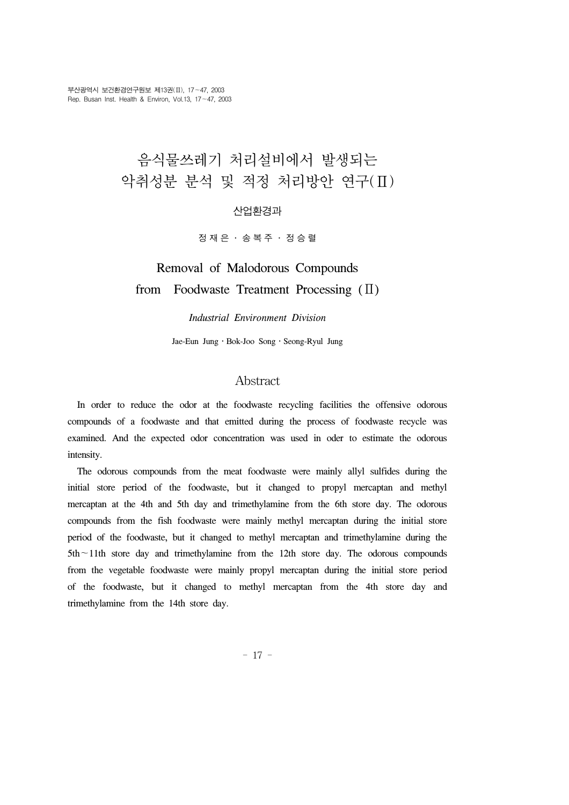# 음식물쓰레기 처리설비에서 발생되는 악취성분 분석 및 적정 처리방안 연구(Ⅱ)

#### 산업환경과

정재은 ․ 송복주 ․ 정승렬

## Removal of Malodorous Compounds from Foodwaste Treatment Processing (Ⅱ)

#### *Industrial Environment Division*

Jae-Eun Jung․Bok-Joo Song․Seong-Ryul Jung

#### Abstract

 In order to reduce the odor at the foodwaste recycling facilities the offensive odorous compounds of a foodwaste and that emitted during the process of foodwaste recycle was examined. And the expected odor concentration was used in oder to estimate the odorous intensity.

 The odorous compounds from the meat foodwaste were mainly allyl sulfides during the initial store period of the foodwaste, but it changed to propyl mercaptan and methyl mercaptan at the 4th and 5th day and trimethylamine from the 6th store day. The odorous compounds from the fish foodwaste were mainly methyl mercaptan during the initial store period of the foodwaste, but it changed to methyl mercaptan and trimethylamine during the 5th∼11th store day and trimethylamine from the 12th store day. The odorous compounds from the vegetable foodwaste were mainly propyl mercaptan during the initial store period of the foodwaste, but it changed to methyl mercaptan from the 4th store day and trimethylamine from the 14th store day.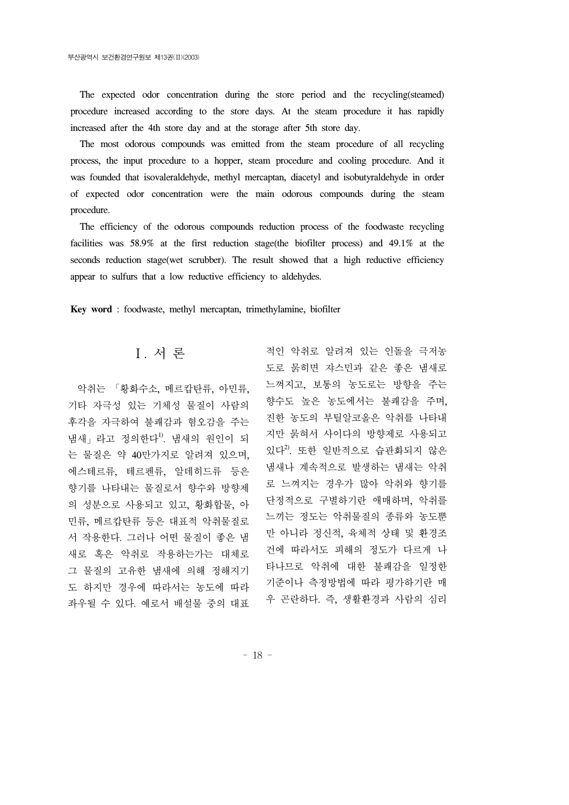The expected odor concentration during the store period and the recycling(steamed) procedure increased according to the store days. At the steam procedure it has rapidly increased after the 4th store day and at the storage after 5th store day.

 The most odorous compounds was emitted from the steam procedure of all recycling process, the input procedure to a hopper, steam procedure and cooling procedure. And it was founded that isovaleraldehyde, methyl mercaptan, diacetyl and isobutyraldehyde in order of expected odor concentration were the main odorous compounds during the steam procedure.

 The efficiency of the odorous compounds reduction process of the foodwaste recycling facilities was 58.9% at the first reduction stage(the biofilter process) and 49.1% at the seconds reduction stage(wet scrubber). The result showed that a high reductive efficiency appear to sulfurs that a low reductive efficiency to aldehydes.

**Key word** : foodwaste, methyl mercaptan, trimethylamine, biofilter

### Ⅰ. 서 론

 악취는 「황화수소, 메르캅탄류, 아민류, 기타 자극성 있는 기체성 물질이 사람의 후각을 자극하여 불쾌감과 혐오감을 주는 냄새  $_1$  라고 정의한다<sup>1)</sup>. 냄새의 원인이 되 는 물질은 약 40만가지로 알려져 있으며, 에스테르류, 테르펜류, 알데히드류 등은 향기를 나타내는 물질로서 향수와 방향제 의 성분으로 사용되고 있고, 황화합물, 아 민류, 메르캅탄류 등은 대표적 악취물질로 서 작용한다. 그러나 어떤 물질이 좋은 냄 새로 혹은 악취로 작용하는가는 대체로 그 물질의 고유한 냄새에 의해 정해지기 도 하지만 경우에 따라서는 농도에 따라 좌우될 수 있다. 예로서 배설물 중의 대표

적인 악취로 알려져 있는 인돌을 극저농 도로 묽히면 쟈스민과 같은 좋은 냄새로 느껴지고, 보통의 농도로는 방향을 주는 향수도 높은 농도에서는 불쾌감을 주며, 진한 농도의 부틸알코올은 악취를 나타내 지만 묽혀서 사이다의 방향제로 사용되고 있다 $^{2}$ . 또한 일반적으로 습관화되지 않은 냄새나 계속적으로 발생하는 냄새는 악취 로 느껴지는 경우가 많아 악취와 향기를 단정적으로 구별하기란 애매하며, 악취를 느끼는 정도는 악취물질의 종류와 농도뿐 만 아니라 정신적, 육체적 상태 및 환경조 건에 따라서도 피해의 정도가 다르게 나 타나므로 악취에 대한 불쾌감을 일정한 기준이나 측정방법에 따라 평가하기란 매 우 곤란하다. 즉, 생활환경과 사람의 심리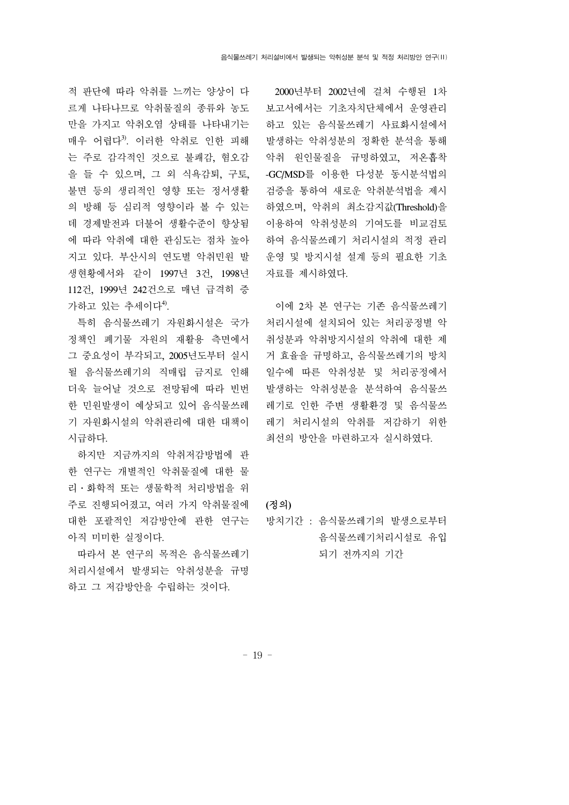적 판단에 따라 악취를 느끼는 양상이 다 르게 나타나므로 악취물질의 종류와 농도 만을 가지고 악취오염 상태를 나타내기는 매우 어렵다3). 이러한 악취로 인한 피해 는 주로 감각적인 것으로 불쾌감, 혐오감 을 들 수 있으며, 그 외 식욕감퇴, 구토, 불면 등의 생리적인 영향 또는 정서생활 의 방해 등 심리적 영향이라 볼 수 있는 데 경제발전과 더불어 생활수준이 향상됨 에 따라 악취에 대한 관심도는 점차 높아 지고 있다. 부산시의 연도별 악취민원 발 생현황에서와 같이 1997년 3건, 1998년 112건, 1999년 242건으로 매년 급격히 증 가하고 있는 추세이다 $4^9$ .

 특히 음식물쓰레기 자원화시설은 국가 정책인 폐기물 자원의 재활용 측면에서 그 중요성이 부각되고, 2005년도부터 실시 될 음식물쓰레기의 직매립 금지로 인해 더욱 늘어날 것으로 전망됨에 따라 빈번 한 민원발생이 예상되고 있어 음식물쓰레 기 자원화시설의 악취관리에 대한 대책이 시급하다.

 하지만 지금까지의 악취저감방법에 관 한 연구는 개별적인 악취물질에 대한 물 리․화학적 또는 생물학적 처리방법을 위 주로 진행되어졌고, 여러 가지 악취물질에 대한 포괄적인 저감방안에 관한 연구는 아직 미미한 실정이다.

 따라서 본 연구의 목적은 음식물쓰레기 처리시설에서 발생되는 악취성분을 규명 하고 그 저감방안을 수립하는 것이다.

 2000년부터 2002년에 걸쳐 수행된 1차 보고서에서는 기초자치단체에서 운영관리 하고 있는 음식물쓰레기 사료화시설에서 발생하는 악취성분의 정확한 분석을 통해 악취 원인물질을 규명하였고, 저온흡착 -GC/MSD를 이용한 다성분 동시분석법의 검증을 통하여 새로운 악취분석법을 제시 하였으며, 악취의 최소감지값(Threshold)을 이용하여 악취성분의 기여도를 비교검토 하여 음식물쓰레기 처리시설의 적정 관리 운영 및 방지시설 설계 등의 필요한 기초 자료를 제시하였다.

 이에 2차 본 연구는 기존 음식물쓰레기 처리시설에 설치되어 있는 처리공정별 악 취성분과 악취방지시설의 악취에 대한 제 거 효율을 규명하고, 음식물쓰레기의 방치 일수에 따른 악취성분 및 처리공정에서 발생하는 악취성분을 분석하여 음식물쓰 레기로 인한 주변 생활환경 및 음식물쓰 레기 처리시설의 악취를 저감하기 위한 최선의 방안을 마련하고자 실시하였다.

#### **(**정의**)**

방치기간 : 음식물쓰레기의 발생으로부터 음식물쓰레기처리시설로 유입 되기 전까지의 기간

- 19 -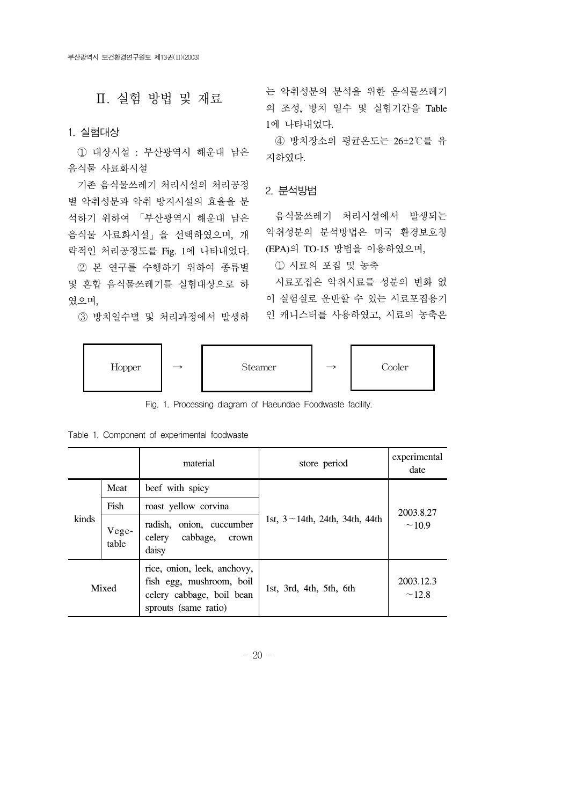### Ⅱ. 실험 방법 및 재료

#### 1. 실험대상

 ① 대상시설 : 부산광역시 해운대 남은 음식물 사료화시설

 기존 음식물쓰레기 처리시설의 처리공정 별 악취성분과 악취 방지시설의 효율을 분 석하기 위하여 「부산광역시 해운대 남은 음식물 사료화시설」을 선택하였으며, 개 략적인 처리공정도를 Fig. 1에 나타내었다.

 ② 본 연구를 수행하기 위하여 종류별 및 혼합 음식물쓰레기를 실험대상으로 하 였으며,

③ 방치일수별 및 처리과정에서 발생하

는 악취성분의 분석을 위한 음식물쓰레기 의 조성, 방치 일수 및 실험기간을 Table 1에 나타내었다.

 ④ 방치장소의 평균온도는 26±2℃를 유 지하였다.

#### 2. 분석방법

 음식물쓰레기 처리시설에서 발생되는 악취성분의 분석방법은 미국 환경보호청 (EPA)의 TO-15 방법을 이용하였으며,

① 시료의 포집 및 농축

 시료포집은 악취시료를 성분의 변화 없 이 실험실로 운반할 수 있는 시료포집용기 인 캐니스터를 사용하였고, 시료의 농축은



Fig. 1. Processing diagram of Haeundae Foodwaste facility.

| Table 1. Component of experimental foodwaste |  |  |
|----------------------------------------------|--|--|
|----------------------------------------------|--|--|

|       |                | material                                                                                                     | store period                          | experimental<br>date |
|-------|----------------|--------------------------------------------------------------------------------------------------------------|---------------------------------------|----------------------|
|       | Meat           | beef with spicy                                                                                              |                                       |                      |
| kinds | Fish           | roast yellow corvina                                                                                         |                                       | 2003.8.27            |
|       | Vege-<br>table | radish, onion, cuccumber<br>cabbage,<br>celery<br>crown<br>daisy                                             | 1st, $3 \sim 14$ th, 24th, 34th, 44th | ~10.9                |
|       | Mixed          | rice, onion, leek, anchovy,<br>fish egg, mushroom, boil<br>celery cabbage, boil bean<br>sprouts (same ratio) | 1st, 3rd, 4th, 5th, 6th               | 2003.12.3<br>~12.8   |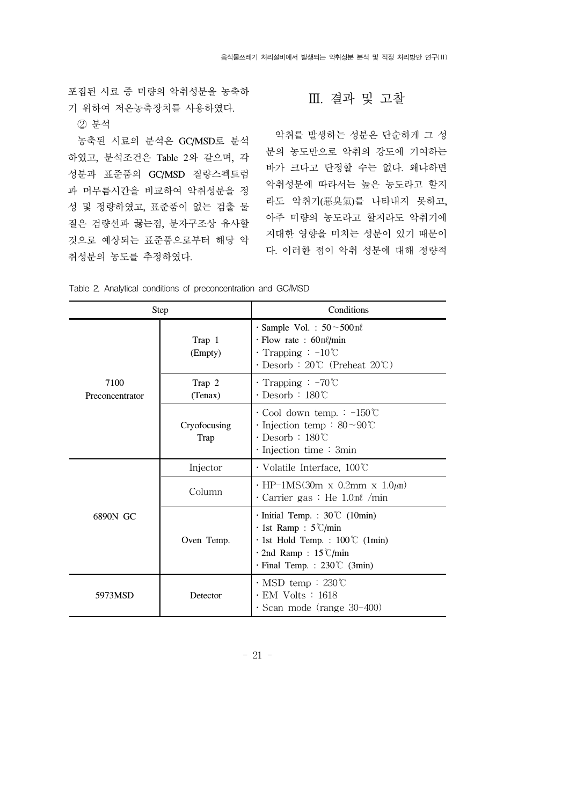포집된 시료 중 미량의 악취성분을 농축하 기 위하여 저온농축장치를 사용하였다.

② 분석

 농축된 시료의 분석은 GC/MSD로 분석 하였고, 분석조건은 Table 2와 같으며, 각 성분과 표준품의 GC/MSD 질량스펙트럼 과 머무름시간을 비교하여 악취성분을 정 성 및 정량하였고, 표준품이 없는 검출 물 질은 검량선과 끓는점, 분자구조상 유사할 것으로 예상되는 표준품으로부터 해당 악 취성분의 농도를 추정하였다.

#### Ⅲ. 결과 및 고찰

 악취를 발생하는 성분은 단순하게 그 성 분의 농도만으로 악취의 강도에 기여하는 바가 크다고 단정할 수는 없다. 왜냐하면 악취성분에 따라서는 높은 농도라고 할지 라도 악취기(惡臭氣)를 나타내지 못하고, 아주 미량의 농도라고 할지라도 악취기에 지대한 영향을 미치는 성분이 있기 때문이 다. 이러한 점이 악취 성분에 대해 정량적

|                         | Step                 | Conditions                                                                                                                                                                       |  |  |
|-------------------------|----------------------|----------------------------------------------------------------------------------------------------------------------------------------------------------------------------------|--|--|
|                         | Trap 1<br>(Empty)    | $\cdot$ Sample Vol. : $50 \sim 500$ ml<br>$\cdot$ Flow rate : 60ml/min<br>$\cdot$ Trapping : $-10^{\circ}$ C<br>$\cdot$ Desorb: 20°C (Preheat 20°C)                              |  |  |
| 7100<br>Preconcentrator | Trap 2<br>(Tenax)    | $\cdot$ Trapping : -70°C<br>$\cdot$ Desorb : 180°C                                                                                                                               |  |  |
|                         | Cryofocusing<br>Trap | $\cdot$ Cool down temp. : $-150^{\circ}$ C<br>$\cdot$ Injection temp: $80 \sim 90^{\circ}$ C<br>$\cdot$ Desorb : 180°C<br>$\cdot$ Injection time : 3min                          |  |  |
|                         | Injector             | $\cdot$ Volatile Interface, 100°C                                                                                                                                                |  |  |
|                         | Column               | $\cdot$ HP-1MS(30m x 0.2mm x 1.0 $\mu$ m)<br>Carrier gas : He $1.0$ m $\ell$ /min                                                                                                |  |  |
| 6890N GC                | Oven Temp.           | $\cdot$ Initial Temp. : 30°C (10min)<br>$\cdot$ 1st Ramp : 5°C/min<br>$\cdot$ 1st Hold Temp. : 100°C (1min)<br>$\cdot$ 2nd Ramp: 15 °C/min<br>$\cdot$ Final Temp. : 230°C (3min) |  |  |
| 5973MSD                 | Detector             | $\cdot$ MSD temp: 230°C<br>$\cdot$ EM Volts : 1618<br>$\cdot$ Scan mode (range 30-400)                                                                                           |  |  |

Table 2. Analytical conditions of preconcentration and GC/MSD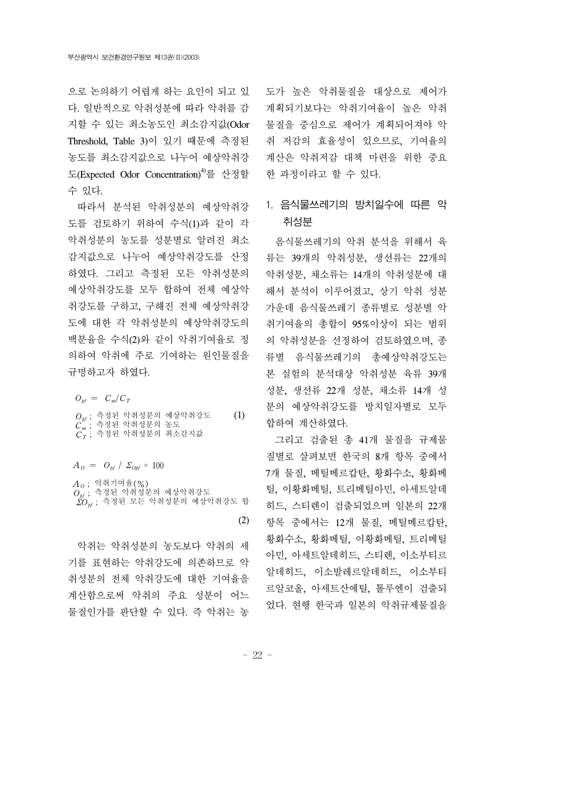으로 논의하기 어렵게 하는 요인이 되고 있 다. 일반적으로 악취성분에 따라 악취를 감 지할 수 있는 최소농도인 최소감지값(Odor Threshold, Table 3)이 있기 때문에 측정된 농도를 최소감지값으로 나누어 예상악취강 도(Expected Odor Concentration)4)를 산정할 수 있다.

 따라서 분석된 악취성분의 예상악취강 도를 검토하기 위하여 수식(1)과 같이 각 악취성분의 농도를 성분별로 알려진 최소 감지값으로 나누어 예상악취강도를 산정 하였다. 그리고 측정된 모든 악취성분의 예상악취강도를 모두 합하여 전체 예상악 취강도를 구하고, 구해진 전체 예상악취강 도에 대한 각 악취성분의 예상악취강도의 백분율을 수식(2)와 같이 악취기여율로 정 의하여 악취에 주로 기여하는 원인물질을 규명하고자 하였다.

 $O_{\text{pf}} = C_{\text{m}}/C_{\text{T}}$ 

 $O_{\textit{bf}}$  ; 측정된 악취성분의 예상악취강도  $C^{''}_{m}$ ; 측정된 악취성분의 농도  $C_T$ ; 측정된 악취성분의 최소감지값 (1)

 $A_{\scriptscriptstyle O} = O_{\scriptscriptstyle bf}/\Sigma_{\scriptscriptstyle Obf} \times 100$ 

 ${A}_\mathrm{{\it 0}}$  ; 악취기여율(%)  $O_{\textit{pf}}$  ; 측정된 악취성분의 예상악취강도  $\Sigma O_{\scriptscriptstyle{\text{bf}}}$ ; 측정된 모든 악취성분의 예상악취강도 합

(2)

 악취는 악취성분의 농도보다 악취의 세 기를 표현하는 악취강도에 의존하므로 악 취성분의 전체 악취강도에 대한 기여율을 계산함으로써 악취의 주요 성분이 어느 물질인가를 판단할 수 있다. 즉 악취는 농

도가 높은 악취물질을 대상으로 제어가 계획되기보다는 악취기여율이 높은 악취 물질을 중심으로 제어가 계획되어져야 악 취 저감의 효율성이 있으므로, 기여율의 계산은 악취저감 대책 마련을 위한 중요 한 과정이라고 할 수 있다.

### 1. 음식물쓰레기의 방치일수에 따른 악 취성분

 음식물쓰레기의 악취 분석을 위해서 육 류는 39개의 악취성분, 생선류는 22개의 악취성분, 채소류는 14개의 악취성분에 대 해서 분석이 이루어졌고, 상기 악취 성분 가운데 음식물쓰레기 종류별로 성분별 악 취기여율의 총합이 95%이상이 되는 범위 의 악취성분을 선정하여 검토하였으며, 종 류별 음식물쓰레기의 총예상악취강도는 본 실험의 분석대상 악취성분 육류 39개 성분, 생선류 22개 성분, 채소류 14개 성 분의 예상악취강도를 방치일자별로 모두 합하여 계산하였다.

 그리고 검출된 총 41개 물질을 규제물 질별로 살펴보면 한국의 8개 항목 중에서 7개 물질, 메틸메르캅탄, 황화수소, 황화메 틸, 이황화메틸, 트리메틸아민, 아세트알데 히드, 스티렌이 검출되었으며 일본의 22개 항목 중에서는 12개 물질, 메틸메르캅탄, 황화수소, 황화메틸, 이황화메틸, 트리메틸 아민, 아세트알데히드, 스티렌, 이소부티르 알데히드, 이소발레르알데히드, 이소부티 르알코올, 아세트산에틸, 톨루엔이 검출되 었다. 현행 한국과 일본의 악취규제물질을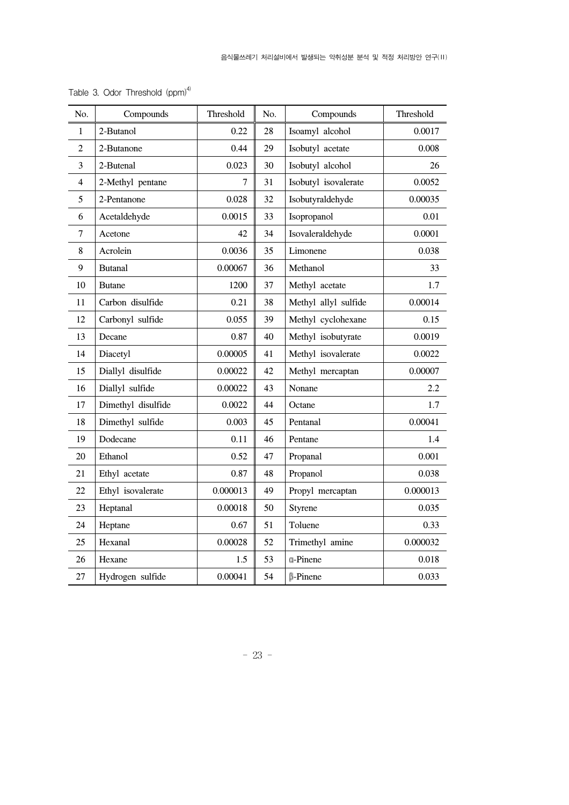| No.            | Compounds          | Threshold | No. | Compounds            | Threshold |
|----------------|--------------------|-----------|-----|----------------------|-----------|
| 1              | 2-Butanol          | 0.22      | 28  | Isoamyl alcohol      | 0.0017    |
| $\overline{c}$ | 2-Butanone         | 0.44      | 29  | Isobutyl acetate     | 0.008     |
| 3              | 2-Butenal          | 0.023     | 30  | Isobutyl alcohol     | 26        |
| 4              | 2-Methyl pentane   | 7         | 31  | Isobutyl isovalerate | 0.0052    |
| 5              | 2-Pentanone        | 0.028     | 32  | Isobutyraldehyde     | 0.00035   |
| 6              | Acetaldehyde       | 0.0015    | 33  | Isopropanol          | 0.01      |
| $\tau$         | Acetone            | 42        | 34  | Isovaleraldehyde     | 0.0001    |
| 8              | Acrolein           | 0.0036    | 35  | Limonene             | 0.038     |
| 9              | <b>Butanal</b>     | 0.00067   | 36  | Methanol             | 33        |
| 10             | <b>Butane</b>      | 1200      | 37  | Methyl acetate       | 1.7       |
| 11             | Carbon disulfide   | 0.21      | 38  | Methyl allyl sulfide | 0.00014   |
| 12             | Carbonyl sulfide   | 0.055     | 39  | Methyl cyclohexane   | 0.15      |
| 13             | Decane             | 0.87      | 40  | Methyl isobutyrate   | 0.0019    |
| 14             | Diacetyl           | 0.00005   | 41  | Methyl isovalerate   | 0.0022    |
| 15             | Diallyl disulfide  | 0.00022   | 42  | Methyl mercaptan     | 0.00007   |
| 16             | Diallyl sulfide    | 0.00022   | 43  | Nonane               | 2.2       |
| 17             | Dimethyl disulfide | 0.0022    | 44  | Octane               | 1.7       |
| 18             | Dimethyl sulfide   | 0.003     | 45  | Pentanal             | 0.00041   |
| 19             | Dodecane           | 0.11      | 46  | Pentane              | 1.4       |
| 20             | Ethanol            | 0.52      | 47  | Propanal             | 0.001     |
| 21             | Ethyl acetate      | 0.87      | 48  | Propanol             | 0.038     |
| 22             | Ethyl isovalerate  | 0.000013  | 49  | Propyl mercaptan     | 0.000013  |
| 23             | Heptanal           | 0.00018   | 50  | Styrene              | 0.035     |
| 24             | Heptane            | 0.67      | 51  | Toluene              | 0.33      |
| 25             | Hexanal            | 0.00028   | 52  | Trimethyl amine      | 0.000032  |
| 26             | Hexane             | 1.5       | 53  | <b>a-Pinene</b>      | 0.018     |
| 27             | Hydrogen sulfide   | 0.00041   | 54  | <b>B-Pinene</b>      | 0.033     |

Table 3. Odor Threshold  $(ppm)^{4)}$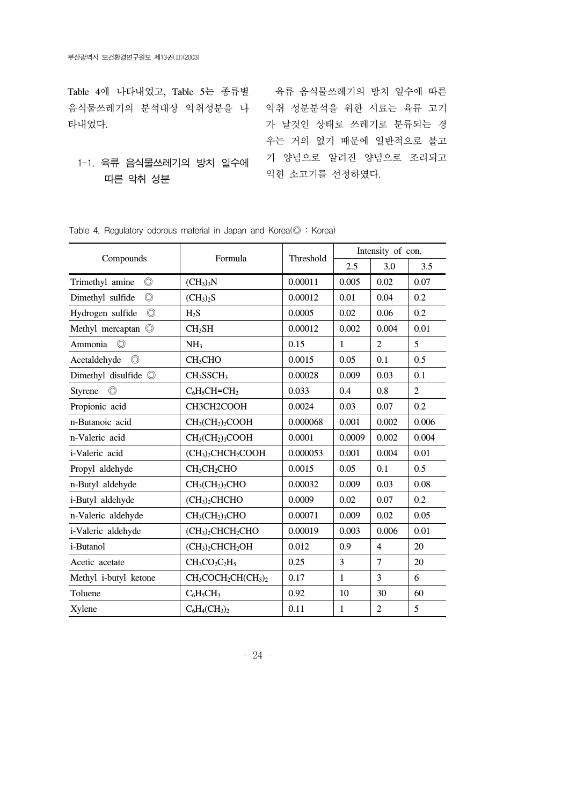Table 4에 나타내었고, Table 5는 종류별 육류 음식물쓰레기의 방치 일수에 따른 음식물쓰레기의 분석대상 악취성분을 나 악취 성분분석을 위한 시료는 육류 고기 타내었다.

### 1-1. 육류 음식물쓰레기의 방치 일수에 따른 악취 성분

가 날것인 상태로 쓰레기로 분류되는 경 우는 거의 없기 때문에 일반적으로 불고 기 양념으로 알려진 양념으로 조리되고 익힌 소고기를 선정하였다.

|                                    |                                                        | Threshold  | Intensity of con. |                |                |  |
|------------------------------------|--------------------------------------------------------|------------|-------------------|----------------|----------------|--|
| Compounds                          | Formula                                                | 2.5<br>3.0 |                   | 3.5            |                |  |
| $\circledcirc$<br>Trimethyl amine  | (CH <sub>3</sub> ) <sub>3</sub> N                      | 0.00011    | 0.005             | 0.02           | 0.07           |  |
| $\circledcirc$<br>Dimethyl sulfide | (CH <sub>3</sub> ) <sub>2</sub> S                      | 0.00012    | 0.01              | 0.04           | 0.2            |  |
| Hydrogen sulfide<br>$\circledcirc$ | $H_2S$                                                 | 0.0005     | 0.02              | 0.06           | 0.2            |  |
| Methyl mercaptan ©                 | CH <sub>3</sub> SH                                     | 0.00012    | 0.002             | 0.004          | 0.01           |  |
| $\circledcirc$<br>Ammonia          | NH <sub>3</sub>                                        | 0.15       | $\mathbf{1}$      | 2              | 5              |  |
| Acetaldehyde<br>$\circledcirc$     | CH <sub>3</sub> CHO                                    | 0.0015     | 0.05              | 0.1            | 0.5            |  |
| Dimethyl disulfide ©               | CH <sub>3</sub> SSCH <sub>3</sub>                      | 0.00028    | 0.009             | 0.03           | 0.1            |  |
| $\circledcirc$<br>Styrene          | $C_6H_5CH=CH_2$                                        | 0.033      | 0.4               | 0.8            | $\overline{2}$ |  |
| Propionic acid                     | CH3CH2COOH                                             | 0.0024     | 0.03              | 0.07           | 0.2            |  |
| n-Butanoic acid                    | $CH3(CH2)2COOH$                                        | 0.000068   | 0.001             | 0.002          | 0.006          |  |
| n-Valeric acid                     | $CH3(CH2)3COOH$                                        | 0.0001     | 0.0009            | 0.002          | 0.004          |  |
| i-Valeric acid                     | (CH <sub>3</sub> ) <sub>2</sub> CHCH <sub>2</sub> COOH | 0.000053   | 0.001             | 0.004          | 0.01           |  |
| Propyl aldehyde                    | CH <sub>3</sub> CH <sub>2</sub> CHO                    | 0.0015     | 0.05              | 0.1            | 0.5            |  |
| n-Butyl aldehyde                   | $CH3(CH2)2CHO$                                         | 0.00032    | 0.009             | 0.03           | 0.08           |  |
| i-Butyl aldehyde                   | (CH <sub>3</sub> ) <sub>2</sub> CHCHO                  | 0.0009     | 0.02              | 0.07           | 0.2            |  |
| n-Valeric aldehyde                 | $CH3(CH2)3CHO$                                         | 0.00071    | 0.009             | 0.02           | 0.05           |  |
| i-Valeric aldehyde                 | (CH <sub>3</sub> ) <sub>2</sub> CHCH <sub>2</sub> CHO  | 0.00019    | 0.003             | 0.006          | 0.01           |  |
| i-Butanol                          | $(CH3)2CHCH2OH$                                        | 0.012      | 0.9               | $\overline{4}$ | 20             |  |
| Acetic acetate                     | $CH3CO2C2H5$                                           | 0.25       | 3                 | $\overline{7}$ | 20             |  |
| Methyl i-butyl ketone              | $CH3COCH2CH(CH3)2$                                     | 0.17       | $\mathbf{1}$      | 3              | 6              |  |
| Toluene                            | $C_6H_5CH_3$                                           | 0.92       | 10                | 30             | 60             |  |

Table 4. Regulatory odorous material in Japan and Korea( $\odot$  : Korea)

Xylene C6H4(CH3)2 0.11 1 2 5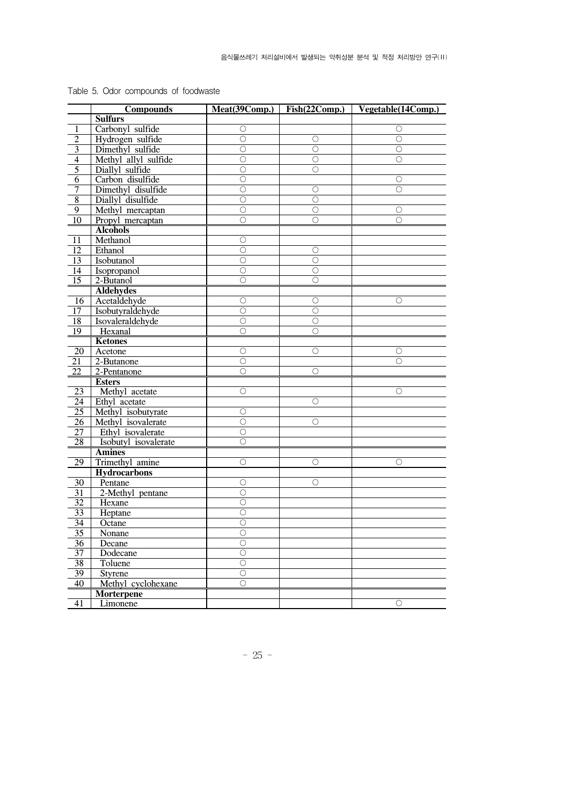|                                   | <b>Compounds</b>     |                    |            | Meat(39Comp.) Fish(22Comp.) Vegetable(14Comp.) |
|-----------------------------------|----------------------|--------------------|------------|------------------------------------------------|
|                                   | <b>Sulfurs</b>       |                    |            |                                                |
| 1                                 | Carbonyl sulfide     | $\circ$            |            | О                                              |
| $\overline{2}$                    | Hydrogen sulfide     | $\circ$            | $\circ$    | $\bigcirc$                                     |
| $\overline{\mathbf{3}}$           | Dimethyl sulfide     | $\circ$            | $\circ$    | Ο                                              |
| $\overline{4}$                    | Methyl allyl sulfide | О                  | О          | Ο                                              |
| $\overline{5}$                    | Diallyl sulfide      | $\circ$            | $\bigcirc$ |                                                |
| 6                                 | Carbon disulfide     | $\circ$            |            | $\bigcirc$                                     |
| $\overline{7}$                    | Dimethyl disulfide   | $\circ$            | $\circ$    | O                                              |
| $\bf 8$                           | Diallyl disulfide    | $\circ$            | О          |                                                |
| 9                                 | Methyl mercaptan     | $\circ$            | $\circ$    | О                                              |
| $\overline{10}$                   | Propyl mercaptan     | $\circ$            | $\bigcirc$ | 0                                              |
|                                   | <b>Alcohols</b>      |                    |            |                                                |
| 11                                | Methanol             | $\circ$            |            |                                                |
| 12                                | Ethanol              | $\bigcirc$         | О          |                                                |
| 13                                | Isobutanol           | $\bigcirc$         | О          |                                                |
| 14                                | Isopropanol          | $\bigcirc$         | $\bigcirc$ |                                                |
| 15                                | 2-Butanol            | О                  | О          |                                                |
|                                   | <b>Aldehydes</b>     |                    |            |                                                |
| 16                                | Acetaldehyde         | $\circ$            | О          | O                                              |
| 17                                | Isobutyraldehyde     | $\circ$            | $\bigcirc$ |                                                |
| 18                                | Isovaleraldehyde     | $\bigcirc$         | О          |                                                |
| 19                                | Hexanal              | $\circ$            | $\circ$    |                                                |
|                                   | <b>Ketones</b>       |                    |            |                                                |
| 20                                | Acetone              | $\circ$            | $\circ$    | О                                              |
| 21                                | 2-Butanone           | $\circ$            |            | Ω                                              |
| 22                                | 2-Pentanone          | О                  | О          |                                                |
|                                   | <b>Esters</b>        |                    |            |                                                |
| 23                                | Methyl acetate       | $\circ$            |            | О                                              |
| $\overline{24}$                   | Ethyl acetate        |                    | $\circ$    |                                                |
| 25                                | Methyl isobutyrate   | $\circ$            |            |                                                |
| 26                                | Methyl isovalerate   | $\circ$            | О          |                                                |
| 27                                | Ethyl isovalerate    | $\circ$            |            |                                                |
| 28                                | Isobutyl isovalerate | $\circ$            |            |                                                |
|                                   | <b>Amines</b>        |                    |            |                                                |
| $\overline{29}$                   | Trimethyl amine      | $\circ$            | $\circ$    | O                                              |
|                                   | <b>Hydrocarbons</b>  |                    |            |                                                |
| 30                                | Pentane              | $\circ$            | О          |                                                |
| 31                                | 2-Methyl pentane     | О                  |            |                                                |
| 32                                | Hexane               | $\bigcirc$         |            |                                                |
| 33                                | Heptane              | $\circ$            |            |                                                |
| $\overline{34}$                   |                      | $\circ$            |            |                                                |
|                                   | Octane               | О                  |            |                                                |
| $\frac{35}{5}$<br>$\overline{36}$ | Nonane<br>Decane     | $\overline{\circ}$ |            |                                                |
|                                   |                      | $\circ$            |            |                                                |
| 37                                | Dodecane             |                    |            |                                                |
| $\overline{38}$                   | Toluene              | $\circ$            |            |                                                |
| 39                                | Styrene              | $\bigcirc$         |            |                                                |
| 40                                | Methyl cyclohexane   | О                  |            |                                                |
|                                   | <b>Morterpene</b>    |                    |            |                                                |
| $\overline{41}$                   | Limonene             |                    |            | О                                              |

Table 5. Odor compounds of foodwaste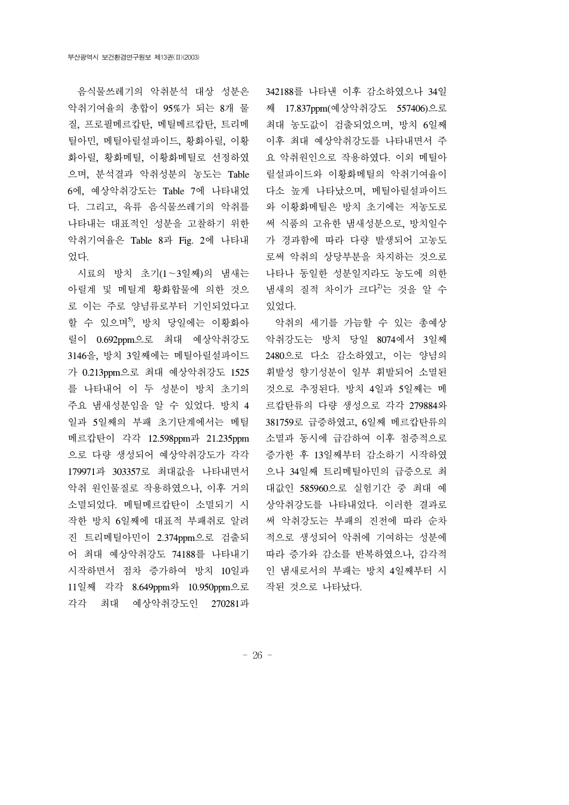음식물쓰레기의 악취분석 대상 성분은 악취기여율의 총합이 95%가 되는 8개 물 질, 프로필메르캅탄, 메틸메르캅탄, 트리메 틸아민, 메틸아릴설파이드, 황화아릴, 이황 화아릴, 황화메틸, 이황화메틸로 선정하였 으며, 분석결과 악취성분의 농도는 Table 6에, 예상악취강도는 Table 7에 나타내었 다. 그리고, 육류 음식물쓰레기의 악취를 나타내는 대표적인 성분을 고찰하기 위한 악취기여율은 Table 8과 Fig. 2에 나타내 었다.

 시료의 방치 초기(1∼3일째)의 냄새는 아릴계 및 메틸계 황화합물에 의한 것으 로 이는 주로 양념류로부터 기인되었다고 할 수 있으며<sup>5</sup>, 방치 당일에는 이황화아 릴이 0.692ppm으로 최대 예상악취강도 3146을, 방치 3일째에는 메틸아릴설파이드 가 0.213ppm으로 최대 예상악취강도 1525 를 나타내어 이 두 성분이 방치 초기의 주요 냄새성분임을 알 수 있었다. 방치 4 일과 5일째의 부패 초기단계에서는 메틸 메르캅탄이 각각 12.598ppm과 21.235ppm 으로 다량 생성되어 예상악취강도가 각각 179971과 303357로 최대값을 나타내면서 악취 원인물질로 작용하였으나, 이후 거의 소멸되었다. 메틸메르캅탄이 소멸되기 시 작한 방치 6일째에 대표적 부패취로 알려 진 트리메틸아민이 2.374ppm으로 검출되 어 최대 예상악취강도 74188를 나타내기 시작하면서 점차 증가하여 방치 10일과 11일째 각각 8.649ppm와 10.950ppm으로 각각 최대 예상악취강도인 270281과

342188를 나타낸 이후 감소하였으나 34일 째 17.837ppm(예상악취강도 557406)으로 최대 농도값이 검출되었으며, 방치 6일째 이후 최대 예상악취강도를 나타내면서 주 요 악취원인으로 작용하였다. 이외 메틸아 릴설파이드와 이황화메틸의 악취기여율이 다소 높게 나타났으며, 메틸아릴설파이드 와 이황화메틸은 방치 초기에는 저농도로 써 식품의 고유한 냄새성분으로, 방치일수 가 경과함에 따라 다량 발생되어 고농도 로써 악취의 상당부분을 차지하는 것으로 나타나 동일한 성분일지라도 농도에 의한 냄새의 질적 차이가 크다<sup>2)</sup>는 것을 알 수 있었다.

 악취의 세기를 가늠할 수 있는 총예상 악취강도는 방치 당일 8074에서 3일째 2480으로 다소 감소하였고, 이는 양념의 휘발성 향기성분이 일부 휘발되어 소멸된 것으로 추정된다. 방치 4일과 5일째는 메 르캅탄류의 다량 생성으로 각각 279884와 381759로 급증하였고, 6일째 메르캅탄류의 소멸과 동시에 급감하여 이후 점증적으로 증가한 후 13일째부터 감소하기 시작하였 으나 34일째 트리메틸아민의 급증으로 최 대값인 585960으로 실험기간 중 최대 예 상악취강도를 나타내었다. 이러한 결과로 써 악취강도는 부패의 진전에 따라 순차 적으로 생성되어 악취에 기여하는 성분에 따라 증가와 감소를 반복하였으나, 감각적 인 냄새로서의 부패는 방치 4일째부터 시 작된 것으로 나타났다.

- 26 -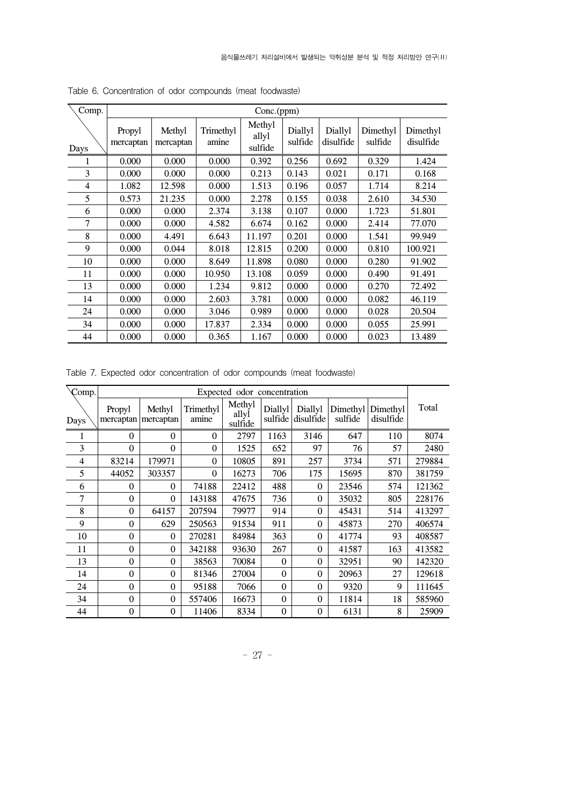| Comp. |                     | Conc.(ppm)          |                    |                            |                    |                      |                     |                       |  |  |  |  |
|-------|---------------------|---------------------|--------------------|----------------------------|--------------------|----------------------|---------------------|-----------------------|--|--|--|--|
| Days  | Propyl<br>mercaptan | Methyl<br>mercaptan | Trimethyl<br>amine | Methyl<br>allyl<br>sulfide | Diallyl<br>sulfide | Diallyl<br>disulfide | Dimethyl<br>sulfide | Dimethyl<br>disulfide |  |  |  |  |
| 1     | 0.000               | 0.000               | 0.000              | 0.392                      | 0.256              | 0.692                | 0.329               | 1.424                 |  |  |  |  |
| 3     | 0.000               | 0.000               | 0.000              | 0.213                      | 0.143              | 0.021                | 0.171               | 0.168                 |  |  |  |  |
| 4     | 1.082               | 12.598              | 0.000              | 1.513                      | 0.196              | 0.057                | 1.714               | 8.214                 |  |  |  |  |
| 5     | 0.573               | 21.235              | 0.000              | 2.278                      | 0.155              | 0.038                | 2.610               | 34.530                |  |  |  |  |
| 6     | 0.000               | 0.000               | 2.374              | 3.138                      | 0.107              | 0.000                | 1.723               | 51.801                |  |  |  |  |
| 7     | 0.000               | 0.000               | 4.582              | 6.674                      | 0.162              | 0.000                | 2.414               | 77.070                |  |  |  |  |
| 8     | 0.000               | 4.491               | 6.643              | 11.197                     | 0.201              | 0.000                | 1.541               | 99.949                |  |  |  |  |
| 9     | 0.000               | 0.044               | 8.018              | 12.815                     | 0.200              | 0.000                | 0.810               | 100.921               |  |  |  |  |
| 10    | 0.000               | 0.000               | 8.649              | 11.898                     | 0.080              | 0.000                | 0.280               | 91.902                |  |  |  |  |
| 11    | 0.000               | 0.000               | 10.950             | 13.108                     | 0.059              | 0.000                | 0.490               | 91.491                |  |  |  |  |
| 13    | 0.000               | 0.000               | 1.234              | 9.812                      | 0.000              | 0.000                | 0.270               | 72.492                |  |  |  |  |
| 14    | 0.000               | 0.000               | 2.603              | 3.781                      | 0.000              | 0.000                | 0.082               | 46.119                |  |  |  |  |
| 24    | 0.000               | 0.000               | 3.046              | 0.989                      | 0.000              | 0.000                | 0.028               | 20.504                |  |  |  |  |
| 34    | 0.000               | 0.000               | 17.837             | 2.334                      | 0.000              | 0.000                | 0.055               | 25.991                |  |  |  |  |
| 44    | 0.000               | 0.000               | 0.365              | 1.167                      | 0.000              | 0.000                | 0.023               | 13.489                |  |  |  |  |

Table 6. Concentration of odor compounds (meat foodwaste)

Table 7. Expected odor concentration of odor compounds (meat foodwaste)

| Comp. |                     |                     |                    | Expected odor concentration |                    |                      |         |                                |        |
|-------|---------------------|---------------------|--------------------|-----------------------------|--------------------|----------------------|---------|--------------------------------|--------|
| Days  | Propyl<br>mercaptan | Methyl<br>mercaptan | Trimethyl<br>amine | Methyl<br>allyl<br>sulfide  | Diallyl<br>sulfide | Diallyl<br>disulfide | sulfide | Dimethyl Dimethyl<br>disulfide | Total  |
| 1     | $\Omega$            | $\Omega$            | $\theta$           | 2797                        | 1163               | 3146                 | 647     | 110                            | 8074   |
| 3     | $\theta$            | $\Omega$            | $\Omega$           | 1525                        | 652                | 97                   | 76      | 57                             | 2480   |
| 4     | 83214               | 179971              | $\Omega$           | 10805                       | 891                | 257                  | 3734    | 571                            | 279884 |
| 5     | 44052               | 303357              | $\Omega$           | 16273                       | 706                | 175                  | 15695   | 870                            | 381759 |
| 6     | $\theta$            | $\theta$            | 74188              | 22412                       | 488                | $\Omega$             | 23546   | 574                            | 121362 |
| 7     | $\Omega$            | $\Omega$            | 143188             | 47675                       | 736                | $\theta$             | 35032   | 805                            | 228176 |
| 8     | $\Omega$            | 64157               | 207594             | 79977                       | 914                | $\Omega$             | 45431   | 514                            | 413297 |
| 9     | $\theta$            | 629                 | 250563             | 91534                       | 911                | $\Omega$             | 45873   | 270                            | 406574 |
| 10    | $\theta$            | $\Omega$            | 270281             | 84984                       | 363                | $\theta$             | 41774   | 93                             | 408587 |
| 11    | $\theta$            | $\theta$            | 342188             | 93630                       | 267                | $\theta$             | 41587   | 163                            | 413582 |
| 13    | $\theta$            | $\theta$            | 38563              | 70084                       | $\Omega$           | $\theta$             | 32951   | 90                             | 142320 |
| 14    | $\theta$            | $\theta$            | 81346              | 27004                       | $\Omega$           | $\theta$             | 20963   | 27                             | 129618 |
| 24    | $\theta$            | $\Omega$            | 95188              | 7066                        | $\theta$           | $\Omega$             | 9320    | 9                              | 111645 |
| 34    | $\theta$            | $\Omega$            | 557406             | 16673                       | $\theta$           | $\theta$             | 11814   | 18                             | 585960 |
| 44    | $\theta$            | $\theta$            | 11406              | 8334                        | $\theta$           | $\theta$             | 6131    | 8                              | 25909  |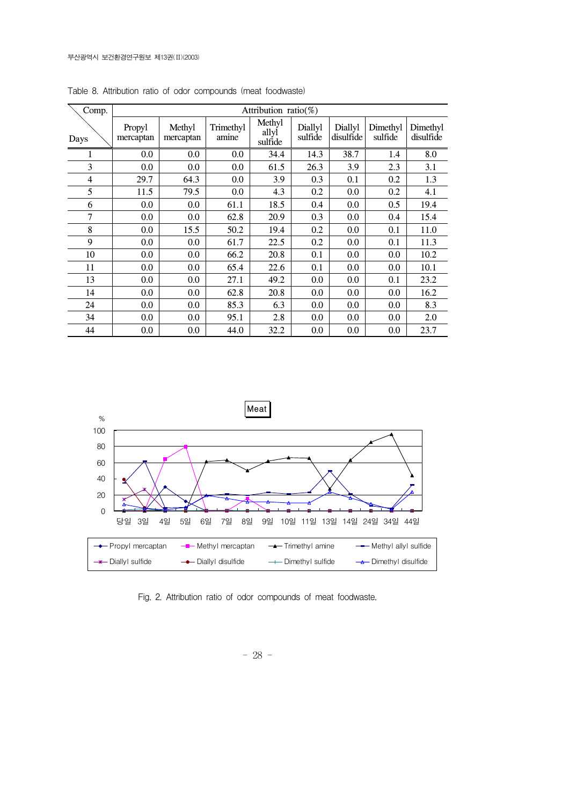| Comp.          |                     |                     |                    | Attribution ratio( $\%$ )  |                    |                      |                     |                       |
|----------------|---------------------|---------------------|--------------------|----------------------------|--------------------|----------------------|---------------------|-----------------------|
| Days           | Propyl<br>mercaptan | Methyl<br>mercaptan | Trimethyl<br>amine | Methyl<br>allyl<br>sulfide | Diallyl<br>sulfide | Diallyl<br>disulfide | Dimethyl<br>sulfide | Dimethyl<br>disulfide |
| 1              | 0.0                 | 0.0                 | 0.0                | 34.4                       | 14.3               | 38.7                 | 1.4                 | 8.0                   |
| 3              | 0.0                 | 0.0                 | 0.0                | 61.5                       | 26.3               | 3.9                  | 2.3                 | 3.1                   |
| 4              | 29.7                | 64.3                | 0.0                | 3.9                        | 0.3                | 0.1                  | 0.2                 | 1.3                   |
| 5              | 11.5                | 79.5                | 0.0                | 4.3                        | 0.2                | 0.0                  | 0.2                 | 4.1                   |
| 6              | 0.0                 | $0.0\,$             | 61.1               | 18.5                       | 0.4                | 0.0                  | 0.5                 | 19.4                  |
| $\overline{7}$ | 0.0                 | $0.0\,$             | 62.8               | 20.9                       | 0.3                | 0.0                  | 0.4                 | 15.4                  |
| 8              | 0.0                 | 15.5                | 50.2               | 19.4                       | 0.2                | 0.0                  | 0.1                 | 11.0                  |
| 9              | 0.0                 | 0.0                 | 61.7               | 22.5                       | 0.2                | 0.0                  | 0.1                 | 11.3                  |
| 10             | 0.0                 | 0.0                 | 66.2               | 20.8                       | 0.1                | 0.0                  | $0.0\,$             | 10.2                  |
| 11             | 0.0                 | 0.0                 | 65.4               | 22.6                       | 0.1                | 0.0                  | $0.0\,$             | 10.1                  |
| 13             | 0.0                 | 0.0                 | 27.1               | 49.2                       | 0.0                | 0.0                  | 0.1                 | 23.2                  |
| 14             | 0.0                 | 0.0                 | 62.8               | 20.8                       | 0.0                | 0.0                  | $0.0\,$             | 16.2                  |
| 24             | 0.0                 | 0.0                 | 85.3               | 6.3                        | 0.0                | 0.0                  | $0.0\,$             | 8.3                   |
| 34             | 0.0                 | 0.0                 | 95.1               | 2.8                        | 0.0                | 0.0                  | $0.0\,$             | 2.0                   |
| 44             | 0.0                 | 0.0                 | 44.0               | 32.2                       | 0.0                | 0.0                  | 0.0                 | 23.7                  |

Table 8. Attribution ratio of odor compounds (meat foodwaste)



Fig. 2. Attribution ratio of odor compounds of meat foodwaste.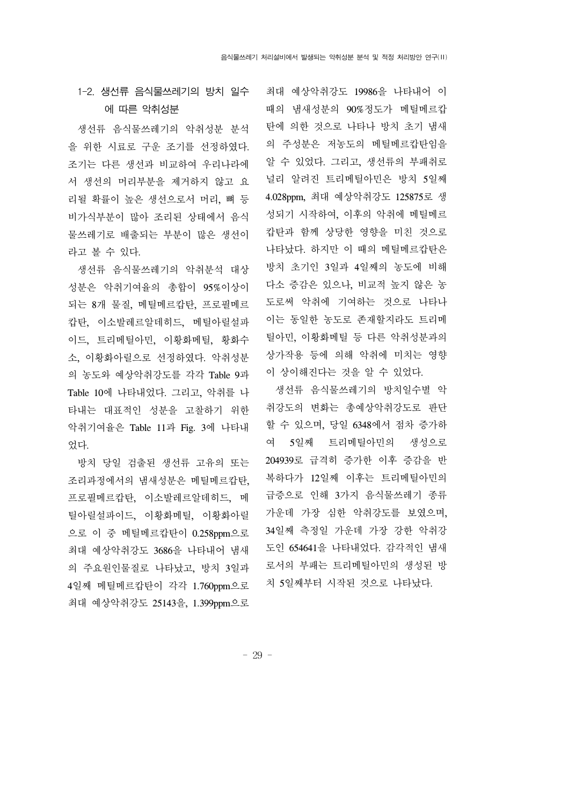### 1-2. 생선류 음식물쓰레기의 방치 일수 에 따른 악취성분

 생선류 음식물쓰레기의 악취성분 분석 을 위한 시료로 구운 조기를 선정하였다. 조기는 다른 생선과 비교하여 우리나라에 서 생선의 머리부분을 제거하지 않고 요 리될 확률이 높은 생선으로서 머리, 뼈 등 비가식부분이 많아 조리된 상태에서 음식 물쓰레기로 배출되는 부분이 많은 생선이 라고 볼 수 있다.

 생선류 음식물쓰레기의 악취분석 대상 성분은 악취기여율의 총합이 95%이상이 되는 8개 물질, 메틸메르캅탄, 프로필메르 캅탄, 이소발레르알데히드, 메틸아릴설파 이드, 트리메틸아민, 이황화메틸, 황화수 소, 이황화아릴으로 선정하였다. 악취성분 의 농도와 예상악취강도를 각각 Table 9과 Table 10에 나타내었다. 그리고, 악취를 나 타내는 대표적인 성분을 고찰하기 위한 악취기여율은 Table 11과 Fig. 3에 나타내 었다.

 방치 당일 검출된 생선류 고유의 또는 조리과정에서의 냄새성분은 메틸메르캅탄, 프로필메르캅탄, 이소발레르알데히드, 메 틸아릴설파이드, 이황화메틸, 이황화아릴 으로 이 중 메틸메르캅탄이 0.258ppm으로 최대 예상악취강도 3686을 나타내어 냄새 의 주요원인물질로 나타났고, 방치 3일과 4일째 메틸메르캅탄이 각각 1.760ppm으로 최대 예상악취강도 25143을, 1.399ppm으로

최대 예상악취강도 19986을 나타내어 이 때의 냄새성분의 90%정도가 메틸메르캅 탄에 의한 것으로 나타나 방치 초기 냄새 의 주성분은 저농도의 메틸메르캅탄임을 알 수 있었다. 그리고, 생선류의 부패취로 널리 알려진 트리메틸아민은 방치 5일째 4.028ppm, 최대 예상악취강도 125875로 생 성되기 시작하여, 이후의 악취에 메틸메르 캅탄과 함께 상당한 영향을 미친 것으로 나타났다. 하지만 이 때의 메틸메르캅탄은 방치 초기인 3일과 4일째의 농도에 비해 다소 증감은 있으나, 비교적 높지 않은 농 도로써 악취에 기여하는 것으로 나타나 이는 동일한 농도로 존재할지라도 트리메 틸아민, 이황화메틸 등 다른 악취성분과의 상가작용 등에 의해 악취에 미치는 영향 이 상이해진다는 것을 알 수 있었다.

 생선류 음식물쓰레기의 방치일수별 악 취강도의 변화는 총예상악취강도로 판단 할 수 있으며, 당일 6348에서 점차 증가하 여 5일째 트리메틸아민의 생성으로 204939로 급격히 증가한 이후 증감을 반 복하다가 12일째 이후는 트리메틸아민의 급증으로 인해 3가지 음식물쓰레기 종류 가운데 가장 심한 악취강도를 보였으며, 34일째 측정일 가운데 가장 강한 악취강 도인 654641을 나타내었다. 감각적인 냄새 로서의 부패는 트리메틸아민의 생성된 방 치 5일째부터 시작된 것으로 나타났다.

- 29 -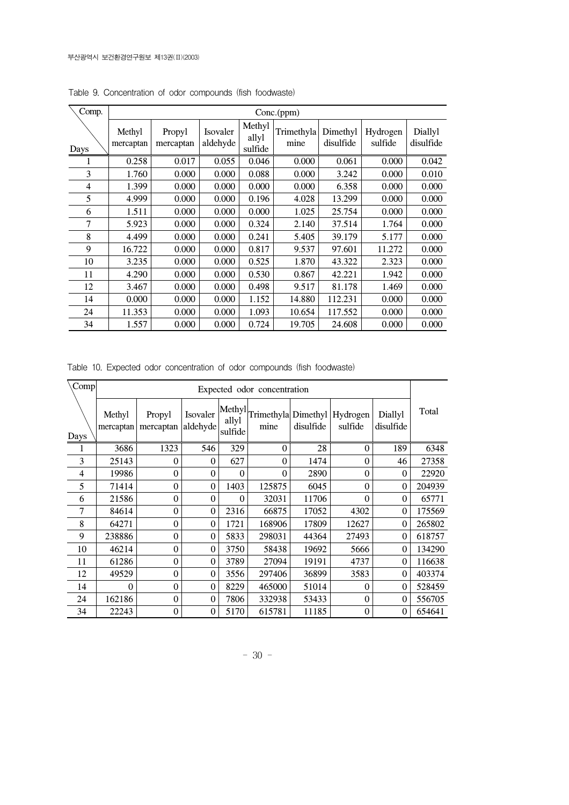| Comp. |                     | Conc.(ppm)          |                      |                            |                    |                       |                     |                      |  |  |  |  |
|-------|---------------------|---------------------|----------------------|----------------------------|--------------------|-----------------------|---------------------|----------------------|--|--|--|--|
| Days  | Methyl<br>mercaptan | Propyl<br>mercaptan | Isovaler<br>aldehyde | Methyl<br>allyl<br>sulfide | Trimethyla<br>mine | Dimethyl<br>disulfide | Hydrogen<br>sulfide | Diallyl<br>disulfide |  |  |  |  |
|       | 0.258               | 0.017               | 0.055                | 0.046                      | 0.000              | 0.061                 | 0.000               | 0.042                |  |  |  |  |
| 3     | 1.760               | 0.000               | 0.000                | 0.088                      | 0.000              | 3.242                 | 0.000               | 0.010                |  |  |  |  |
| 4     | 1.399               | 0.000               | 0.000                | 0.000                      | 0.000              | 6.358                 | 0.000               | 0.000                |  |  |  |  |
| 5     | 4.999               | 0.000               | 0.000                | 0.196                      | 4.028              | 13.299                | 0.000               | 0.000                |  |  |  |  |
| 6     | 1.511               | 0.000               | 0.000                | 0.000                      | 1.025              | 25.754                | 0.000               | 0.000                |  |  |  |  |
| 7     | 5.923               | 0.000               | 0.000                | 0.324                      | 2.140              | 37.514                | 1.764               | 0.000                |  |  |  |  |
| 8     | 4.499               | 0.000               | 0.000                | 0.241                      | 5.405              | 39.179                | 5.177               | 0.000                |  |  |  |  |
| 9     | 16.722              | 0.000               | 0.000                | 0.817                      | 9.537              | 97.601                | 11.272              | 0.000                |  |  |  |  |
| 10    | 3.235               | 0.000               | 0.000                | 0.525                      | 1.870              | 43.322                | 2.323               | 0.000                |  |  |  |  |
| 11    | 4.290               | 0.000               | 0.000                | 0.530                      | 0.867              | 42.221                | 1.942               | 0.000                |  |  |  |  |
| 12    | 3.467               | 0.000               | 0.000                | 0.498                      | 9.517              | 81.178                | 1.469               | 0.000                |  |  |  |  |
| 14    | 0.000               | 0.000               | 0.000                | 1.152                      | 14.880             | 112.231               | 0.000               | 0.000                |  |  |  |  |
| 24    | 11.353              | 0.000               | 0.000                | 1.093                      | 10.654             | 117.552               | 0.000               | 0.000                |  |  |  |  |
| 34    | 1.557               | 0.000               | 0.000                | 0.724                      | 19.705             | 24.608                | 0.000               | 0.000                |  |  |  |  |

Table 9. Concentration of odor compounds (fish foodwaste)

Table 10. Expected odor concentration of odor compounds (fish foodwaste)

| Comp |                     |                     |                      |                            | Expected odor concentration |           |                     |                      |        |
|------|---------------------|---------------------|----------------------|----------------------------|-----------------------------|-----------|---------------------|----------------------|--------|
| Days | Methyl<br>mercaptan | Propyl<br>mercaptan | Isovaler<br>aldehyde | Methyl<br>allyl<br>sulfide | Trimethyla Dimethyl<br>mine | disulfide | Hydrogen<br>sulfide | Diallyl<br>disulfide | Total  |
| 1    | 3686                | 1323                | 546                  | 329                        | $\mathbf 0$                 | 28        | $\theta$            | 189                  | 6348   |
| 3    | 25143               | $\theta$            | 0                    | 627                        | $\theta$                    | 1474      | $\theta$            | 46                   | 27358  |
| 4    | 19986               | $\theta$            | 0                    | $\theta$                   | $\theta$                    | 2890      | $\theta$            | $\mathbf{0}$         | 22920  |
| 5    | 71414               | $\theta$            | 0                    | 1403                       | 125875                      | 6045      | $\Omega$            | $\mathbf{0}$         | 204939 |
| 6    | 21586               | $\theta$            | 0                    | 0                          | 32031                       | 11706     | $\Omega$            | 0                    | 65771  |
| 7    | 84614               | $\theta$            | $\overline{0}$       | 2316                       | 66875                       | 17052     | 4302                | $\theta$             | 175569 |
| 8    | 64271               | $\overline{0}$      | 0                    | 1721                       | 168906                      | 17809     | 12627               | 0                    | 265802 |
| 9    | 238886              | 0                   | $\theta$             | 5833                       | 298031                      | 44364     | 27493               | $\theta$             | 618757 |
| 10   | 46214               | $\theta$            | $\theta$             | 3750                       | 58438                       | 19692     | 5666                | $\theta$             | 134290 |
| 11   | 61286               | $\theta$            | $\theta$             | 3789                       | 27094                       | 19191     | 4737                | $\theta$             | 116638 |
| 12   | 49529               | $\theta$            | $\theta$             | 3556                       | 297406                      | 36899     | 3583                | $\theta$             | 403374 |
| 14   | $\Omega$            | $\theta$            | 0                    | 8229                       | 465000                      | 51014     | 0                   | $\theta$             | 528459 |
| 24   | 162186              | $\theta$            | 0                    | 7806                       | 332938                      | 53433     | $\theta$            | $\theta$             | 556705 |
| 34   | 22243               | $\theta$            | $\theta$             | 5170                       | 615781                      | 11185     | $\theta$            | $\Omega$             | 654641 |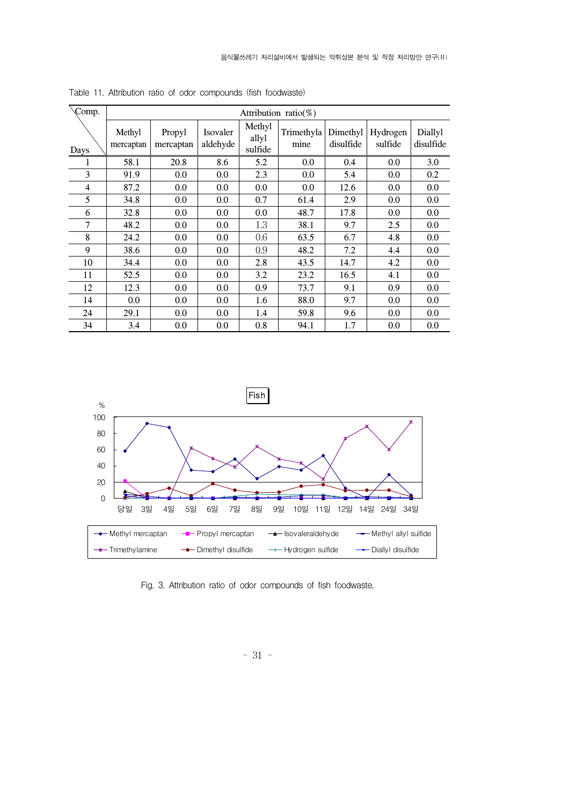| Comp. |                     |                     |                      |                            | Attribution ratio( $\%$ ) |                       |                     |                      |
|-------|---------------------|---------------------|----------------------|----------------------------|---------------------------|-----------------------|---------------------|----------------------|
| Days  | Methyl<br>mercaptan | Propyl<br>mercaptan | Isovaler<br>aldehyde | Methyl<br>allyl<br>sulfide | Trimethyla<br>mine        | Dimethyl<br>disulfide | Hydrogen<br>sulfide | Diallyl<br>disulfide |
|       | 58.1                | 20.8                | 8.6                  | 5.2                        | $0.0\,$                   | 0.4                   | 0.0                 | 3.0                  |
| 3     | 91.9                | 0.0                 | 0.0                  | 2.3                        | 0.0                       | 5.4                   | 0.0                 | 0.2                  |
| 4     | 87.2                | 0.0                 | 0.0                  | 0.0                        | 0.0                       | 12.6                  | 0.0                 | 0.0                  |
| 5     | 34.8                | 0.0                 | 0.0                  | 0.7                        | 61.4                      | 2.9                   | 0.0                 | 0.0                  |
| 6     | 32.8                | 0.0                 | 0.0                  | 0.0                        | 48.7                      | 17.8                  | 0.0                 | 0.0                  |
| 7     | 48.2                | 0.0                 | 0.0                  | 1.3                        | 38.1                      | 9.7                   | 2.5                 | 0.0                  |
| 8     | 24.2                | 0.0                 | 0.0                  | 0.6                        | 63.5                      | 6.7                   | 4.8                 | 0.0                  |
| 9     | 38.6                | 0.0                 | 0.0                  | 0.9                        | 48.2                      | 7.2                   | 4.4                 | 0.0                  |
| 10    | 34.4                | 0.0                 | 0.0                  | 2.8                        | 43.5                      | 14.7                  | 4.2                 | 0.0                  |
| 11    | 52.5                | 0.0                 | 0.0                  | 3.2                        | 23.2                      | 16.5                  | 4.1                 | 0.0                  |
| 12    | 12.3                | 0.0                 | 0.0                  | 0.9                        | 73.7                      | 9.1                   | 0.9                 | 0.0                  |
| 14    | $0.0\,$             | 0.0                 | 0.0                  | 1.6                        | 88.0                      | 9.7                   | 0.0                 | 0.0                  |
| 24    | 29.1                | 0.0                 | 0.0                  | 1.4                        | 59.8                      | 9.6                   | 0.0                 | 0.0                  |
| 34    | 3.4                 | 0.0                 | 0.0                  | 0.8                        | 94.1                      | 1.7                   | 0.0                 | 0.0                  |

Table 11. Attribution ratio of odor compounds (fish foodwaste)



Fig. 3. Attribution ratio of odor compounds of fish foodwaste.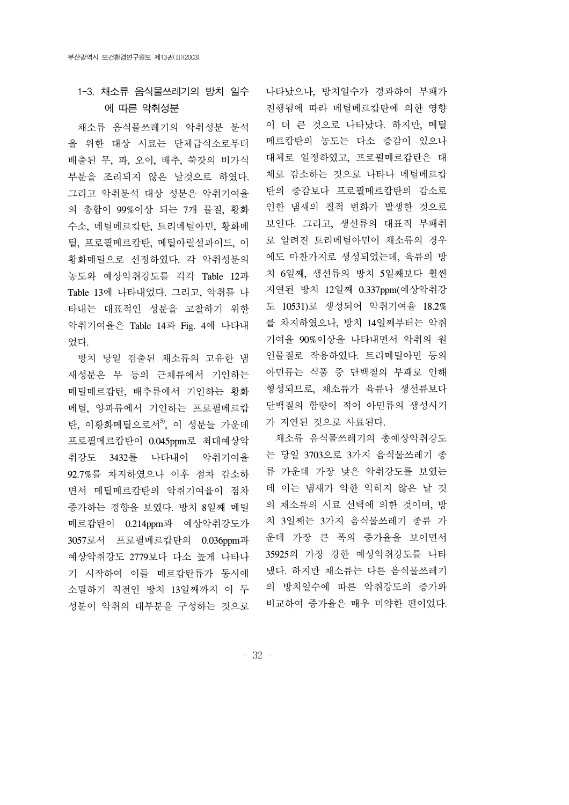### 1-3. 채소류 음식물쓰레기의 방치 일수 에 따른 악취성분

 채소류 음식물쓰레기의 악취성분 분석 을 위한 대상 시료는 단체급식소로부터 배출된 무, 파, 오이, 배추, 쑥갓의 비가식 부분을 조리되지 않은 날것으로 하였다. 그리고 악취분석 대상 성분은 악취기여율 의 총합이 99%이상 되는 7개 물질, 황화 수소, 메틸메르캅탄, 트리메틸아민, 황화메 틸, 프로필메르캅탄, 메틸아릴설파이드, 이 황화메틸으로 선정하였다. 각 악취성분의 농도와 예상악취강도를 각각 Table 12과 Table 13에 나타내었다. 그리고, 악취를 나 타내는 대표적인 성분을 고찰하기 위한 악취기여율은 Table 14과 Fig. 4에 나타내 었다.

 방치 당일 검출된 채소류의 고유한 냄 새성분은 무 등의 근채류에서 기인하는 메틸메르캅탄, 배추류에서 기인하는 황화 메틸, 양파류에서 기인하는 프로필메르캅 탄, 이황화메틸으로서 $5$ , 이 성분들 가운데 프로필메르캅탄이 0.045ppm로 최대예상악 취강도 3432를 나타내어 악취기여율 92.7%를 차지하였으나 이후 점차 감소하 면서 메틸메르캅탄의 악취기여율이 점차 증가하는 경향을 보였다. 방치 8일째 메틸 메르캅탄이 0.214ppm과 예상악취강도가 3057로서 프로필메르캅탄의 0.036ppm과 예상악취강도 2779보다 다소 높게 나타나 기 시작하여 이들 메르캅탄류가 동시에 소멸하기 직전인 방치 13일째까지 이 두 성분이 악취의 대부분을 구성하는 것으로

나타났으나, 방치일수가 경과하여 부패가 진행됨에 따라 메틸메르캅탄에 의한 영향 이 더 큰 것으로 나타났다. 하지만, 메틸 메르캅탄의 농도는 다소 증감이 있으나 대체로 일정하였고, 프로필메르캅탄은 대 체로 감소하는 것으로 나타나 메틸메르캅 탄의 증감보다 프로필메르캅탄의 감소로 인한 냄새의 질적 변화가 발생한 것으로 보인다. 그리고, 생선류의 대표적 부패취 로 알려진 트리메틸아민이 채소류의 경우 에도 마찬가지로 생성되었는데, 육류의 방 치 6일째, 생선류의 방치 5일째보다 훨씬 지연된 방치 12일째 0.337ppm(예상악취강 도 10531)로 생성되어 악취기여율 18.2% 를 차지하였으나, 방치 14일째부터는 악취 기여율 90%이상을 나타내면서 악취의 원 인물질로 작용하였다. 트리메틸아민 등의 아민류는 식품 중 단백질의 부패로 인해 형성되므로, 채소류가 육류나 생선류보다 단백질의 함량이 적어 아민류의 생성시기 가 지연된 것으로 사료된다.

 채소류 음식물쓰레기의 총예상악취강도 는 당일 3703으로 3가지 음식물쓰레기 종 류 가운데 가장 낮은 악취강도를 보였는 데 이는 냄새가 약한 익히지 않은 날 것 의 채소류의 시료 선택에 의한 것이며, 방 치 3일째는 3가지 음식물쓰레기 종류 가 운데 가장 큰 폭의 증가율을 보이면서 35925의 가장 강한 예상악취강도를 나타 냈다. 하지만 채소류는 다른 음식물쓰레기 의 방치일수에 따른 악취강도의 증가와 비교하여 증가율은 매우 미약한 편이었다.

- 32 -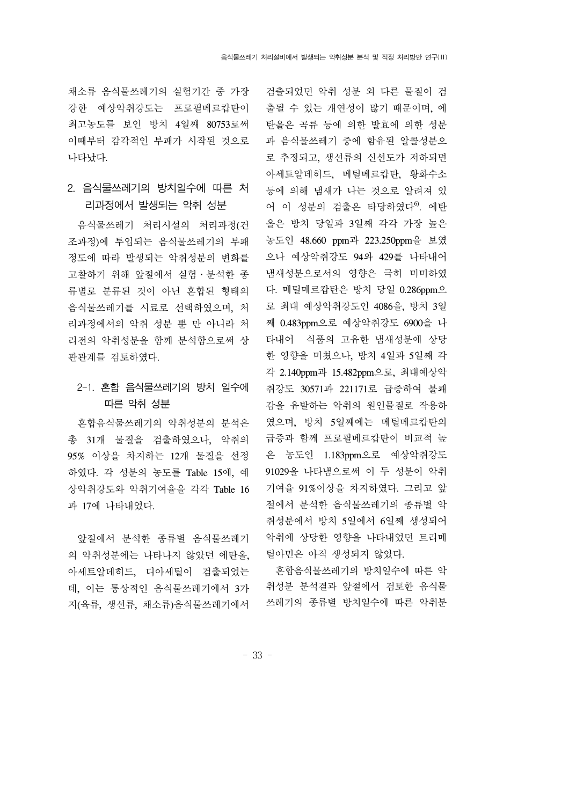채소류 음식물쓰레기의 실험기간 중 가장 강한 예상악취강도는 프로필메르캅탄이 최고농도를 보인 방치 4일째 80753로써 이때부터 감각적인 부패가 시작된 것으로 나타났다.

#### 2. 음식물쓰레기의 방치일수에 따른 처 리과정에서 발생되는 악취 성분

 음식물쓰레기 처리시설의 처리과정(건 조과정)에 투입되는 음식물쓰레기의 부패 정도에 따라 발생되는 악취성분의 변화를 고찰하기 위해 앞절에서 실험․분석한 종 류별로 분류된 것이 아닌 혼합된 형태의 음식물쓰레기를 시료로 선택하였으며, 처 리과정에서의 악취 성분 뿐 만 아니라 처 리전의 악취성분을 함께 분석함으로써 상 관관계를 검토하였다.

### 2-1. 혼합 음식물쓰레기의 방치 일수에 따른 악취 성분

 혼합음식물쓰레기의 악취성분의 분석은 총 31개 물질을 검출하였으나, 악취의 95% 이상을 차지하는 12개 물질을 선정 하였다. 각 성분의 농도를 Table 15에, 예 상악취강도와 악취기여율을 각각 Table 16 과 17에 나타내었다.

 앞절에서 분석한 종류별 음식물쓰레기 의 악취성분에는 나타나지 않았던 에탄올, 아세트알데히드, 디아세틸이 검출되었는 데, 이는 통상적인 음식물쓰레기에서 3가 지(육류, 생선류, 채소류)음식물쓰레기에서

검출되었던 악취 성분 외 다른 물질이 검 출될 수 있는 개연성이 많기 때문이며, 에 탄올은 곡류 등에 의한 발효에 의한 성분 과 음식물쓰레기 중에 함유된 알콜성분으 로 추정되고, 생선류의 신선도가 저하되면 아세트알데히드, 메틸메르캅탄, 황화수소 등에 의해 냄새가 나는 것으로 알려져 있 어 이 성분의 검출은 타당하였다<sup>6</sup>. 에탄 올은 방치 당일과 3일째 각각 가장 높은 농도인 48.660 ppm과 223.250ppm을 보였 으나 예상악취강도 94와 429를 나타내어 냄새성분으로서의 영향은 극히 미미하였 다. 메틸메르캅타은 방치 당일 0.286ppm으 로 최대 예상악취강도인 4086을, 방치 3일 째 0.483ppm으로 예상악취강도 6900을 나 타내어 식품의 고유한 냄새성분에 상당 한 영향을 미쳤으나, 방치 4일과 5일째 각 각 2.140ppm과 15.482ppm으로, 최대예상악 취강도 30571과 221171로 급증하여 불쾌 감을 유발하는 악취의 원인물질로 작용하 였으며, 방치 5일째에는 메틸메르캅탄의 급증과 함께 프로필메르캅탄이 비교적 높 은 농도인 1.183ppm으로 예상악취강도 91029을 나타냄으로써 이 두 성분이 악취 기여율 91%이상을 차지하였다. 그리고 앞 절에서 분석한 음식물쓰레기의 종류별 악 취성분에서 방치 5일에서 6일째 생성되어 악취에 상당한 영향을 나타내었던 트리메 틸아민은 아직 생성되지 않았다.

 혼합음식물쓰레기의 방치일수에 따른 악 취성분 분석결과 앞절에서 검토한 음식물 쓰레기의 종류별 방치일수에 따른 악취분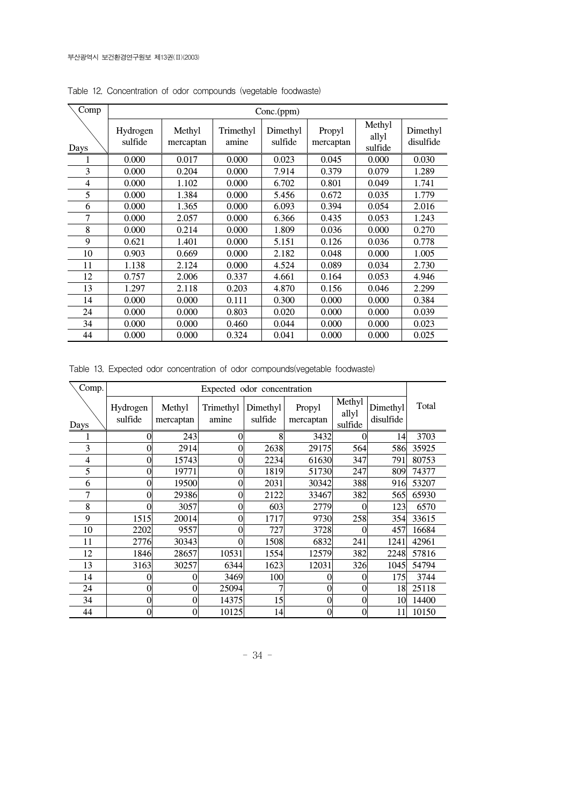| Comp | Conc.(ppm)          |                     |                    |                     |                     |                            |                       |
|------|---------------------|---------------------|--------------------|---------------------|---------------------|----------------------------|-----------------------|
| Days | Hydrogen<br>sulfide | Methyl<br>mercaptan | Trimethyl<br>amine | Dimethyl<br>sulfide | Propyl<br>mercaptan | Methyl<br>allyl<br>sulfide | Dimethyl<br>disulfide |
|      | 0.000               | 0.017               | 0.000              | 0.023               | 0.045               | 0.000                      | 0.030                 |
| 3    | 0.000               | 0.204               | 0.000              | 7.914               | 0.379               | 0.079                      | 1.289                 |
| 4    | 0.000               | 1.102               | 0.000              | 6.702               | 0.801               | 0.049                      | 1.741                 |
| 5    | 0.000               | 1.384               | 0.000              | 5.456               | 0.672               | 0.035                      | 1.779                 |
| 6    | 0.000               | 1.365               | 0.000              | 6.093               | 0.394               | 0.054                      | 2.016                 |
| 7    | 0.000               | 2.057               | 0.000              | 6.366               | 0.435               | 0.053                      | 1.243                 |
| 8    | 0.000               | 0.214               | 0.000              | 1.809               | 0.036               | 0.000                      | 0.270                 |
| 9    | 0.621               | 1.401               | 0.000              | 5.151               | 0.126               | 0.036                      | 0.778                 |
| 10   | 0.903               | 0.669               | 0.000              | 2.182               | 0.048               | 0.000                      | 1.005                 |
| 11   | 1.138               | 2.124               | 0.000              | 4.524               | 0.089               | 0.034                      | 2.730                 |
| 12   | 0.757               | 2.006               | 0.337              | 4.661               | 0.164               | 0.053                      | 4.946                 |
| 13   | 1.297               | 2.118               | 0.203              | 4.870               | 0.156               | 0.046                      | 2.299                 |
| 14   | 0.000               | 0.000               | 0.111              | 0.300               | 0.000               | 0.000                      | 0.384                 |
| 24   | 0.000               | 0.000               | 0.803              | 0.020               | 0.000               | 0.000                      | 0.039                 |
| 34   | 0.000               | 0.000               | 0.460              | 0.044               | 0.000               | 0.000                      | 0.023                 |
| 44   | 0.000               | 0.000               | 0.324              | 0.041               | 0.000               | 0.000                      | 0.025                 |

Table 12. Concentration of odor compounds (vegetable foodwaste)

Table 13. Expected odor concentration of odor compounds(vegetable foodwaste)

| Comp. | Expected odor concentration |                     |                    |                     |                     |                            |                       |       |
|-------|-----------------------------|---------------------|--------------------|---------------------|---------------------|----------------------------|-----------------------|-------|
| Days  | Hydrogen<br>sulfide         | Methyl<br>mercaptan | Trimethyl<br>amine | Dimethyl<br>sulfide | Propyl<br>mercaptan | Methyl<br>allyl<br>sulfide | Dimethyl<br>disulfide | Total |
|       | 0                           | 243                 | $\Omega$           | 8                   | 3432                | 0                          | 14                    | 3703  |
| 3     | 0                           | 2914                | 0                  | 2638                | 29175               | 564                        | 586                   | 35925 |
| 4     | 0                           | 15743               | 0                  | 2234                | 61630               | 347                        | 791                   | 80753 |
| 5     | 0                           | 19771               | 0                  | 1819                | 51730               | 247                        | 809                   | 74377 |
| 6     | $\overline{0}$              | 19500               | $\overline{0}$     | 2031                | 30342               | 388                        | 916                   | 53207 |
| 7     | 0                           | 29386               | $\overline{0}$     | 2122                | 33467               | 382                        | 565                   | 65930 |
| 8     |                             | 3057                | 0                  | 603                 | 2779                | 0                          | 123                   | 6570  |
| 9     | 1515                        | 20014               | $\overline{0}$     | 1717                | 9730                | 258                        | 354                   | 33615 |
| 10    | 2202                        | 9557                | 0                  | 727                 | 3728                | O                          | 457                   | 16684 |
| 11    | 2776                        | 30343               | 0                  | 1508                | 6832                | 241                        | 1241                  | 42961 |
| 12    | 1846                        | 28657               | 10531              | 1554                | 12579               | 382                        | 2248                  | 57816 |
| 13    | 3163                        | 30257               | 6344               | 1623                | 12031               | 326                        | 1045                  | 54794 |
| 14    | 0                           | 0                   | 3469               | 100                 |                     | 0                          | 175                   | 3744  |
| 24    | 0                           | $\theta$            | 25094              |                     | 0                   | $\boldsymbol{0}$           | 18                    | 25118 |
| 34    | 0                           | 0                   | 14375              | 15                  |                     | 0                          | 10                    | 14400 |
| 44    | 0                           | 0                   | 10125              | 14                  | 0                   | 0                          | 11                    | 10150 |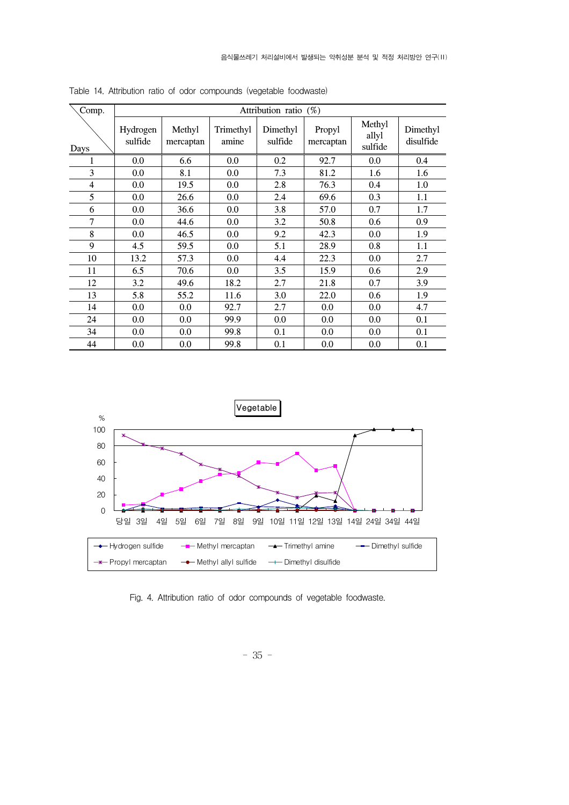| Comp. |                     | Attribution ratio (%) |                    |                     |                     |                            |                       |  |
|-------|---------------------|-----------------------|--------------------|---------------------|---------------------|----------------------------|-----------------------|--|
| Days  | Hydrogen<br>sulfide | Methyl<br>mercaptan   | Trimethyl<br>amine | Dimethyl<br>sulfide | Propyl<br>mercaptan | Methyl<br>allyl<br>sulfide | Dimethyl<br>disulfide |  |
| 1     | 0.0                 | 6.6                   | 0.0                | 0.2                 | 92.7                | 0.0                        | 0.4                   |  |
| 3     | 0.0                 | 8.1                   | $0.0\,$            | 7.3                 | 81.2                | 1.6                        | 1.6                   |  |
| 4     | 0.0                 | 19.5                  | 0.0                | 2.8                 | 76.3                | 0.4                        | 1.0                   |  |
| 5     | 0.0                 | 26.6                  | 0.0                | 2.4                 | 69.6                | 0.3                        | 1.1                   |  |
| 6     | 0.0                 | 36.6                  | 0.0                | 3.8                 | 57.0                | 0.7                        | 1.7                   |  |
| 7     | 0.0                 | 44.6                  | 0.0                | 3.2                 | 50.8                | 0.6                        | 0.9                   |  |
| 8     | 0.0                 | 46.5                  | 0.0                | 9.2                 | 42.3                | 0.0                        | 1.9                   |  |
| 9     | 4.5                 | 59.5                  | 0.0                | 5.1                 | 28.9                | 0.8                        | 1.1                   |  |
| 10    | 13.2                | 57.3                  | 0.0                | 4.4                 | 22.3                | 0.0                        | 2.7                   |  |
| 11    | 6.5                 | 70.6                  | 0.0                | 3.5                 | 15.9                | 0.6                        | 2.9                   |  |
| 12    | 3.2                 | 49.6                  | 18.2               | 2.7                 | 21.8                | 0.7                        | 3.9                   |  |
| 13    | 5.8                 | 55.2                  | 11.6               | 3.0                 | 22.0                | 0.6                        | 1.9                   |  |
| 14    | 0.0                 | 0.0                   | 92.7               | 2.7                 | 0.0                 | 0.0                        | 4.7                   |  |
| 24    | 0.0                 | 0.0                   | 99.9               | 0.0                 | 0.0                 | 0.0                        | 0.1                   |  |
| 34    | 0.0                 | 0.0                   | 99.8               | 0.1                 | 0.0                 | 0.0                        | 0.1                   |  |
| 44    | 0.0                 | 0.0                   | 99.8               | 0.1                 | 0.0                 | 0.0                        | 0.1                   |  |

Table 14. Attribution ratio of odor compounds (vegetable foodwaste)



Fig. 4. Attribution ratio of odor compounds of vegetable foodwaste.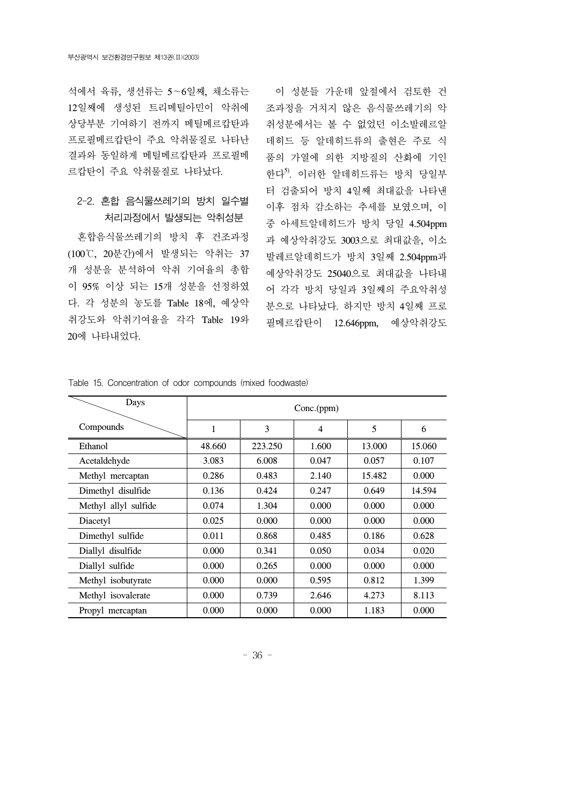석에서 육류, 생선류는 5∼6일째, 채소류는 12일째에 생성된 트리메틸아민이 악취에 상당부분 기여하기 전까지 메틸메르캅탄과 프로필메르캅탄이 주요 악취물질로 나타난 결과와 동일하게 메틸메르캅탄과 프로필메 르캅탄이 주요 악취물질로 나타났다.

#### 2-2. 혼합 음식물쓰레기의 방치 일수별 처리과정에서 발생되는 악취성분

 혼합음식물쓰레기의 방치 후 건조과정 (100℃, 20분간)에서 발생되는 악취는 37 개 성분을 분석하여 악취 기여율의 총합 이 95% 이상 되는 15개 성분을 선정하였 다. 각 성분의 농도를 Table 18에, 예상악 취강도와 악취기여율을 각각 Table 19와 20에 나타내었다.

 이 성분들 가운데 앞절에서 검토한 건 조과정을 거치지 않은 음식물쓰레기의 악 취성분에서는 볼 수 없었던 이소발레르알 데히드 등 알데히드류의 출현은 주로 식 품의 가열에 의한 지방질의 산화에 기인 한다<sup>5)</sup>. 이러한 알데히드류는 방치 당일부 터 검출되어 방치 4일째 최대값을 나타낸 이후 점차 감소하는 추세를 보였으며, 이 중 아세트알데히드가 방치 당일 4.504ppm 과 예상악취강도 3003으로 최대값을, 이소 발레르알데히드가 방치 3일째 2.504ppm과 예상악취강도 25040으로 최대값을 나타내 어 각각 방치 당일과 3일째의 주요악취성 분으로 나타났다. 하지만 방치 4일째 프로 필메르캅탄이 12.646ppm, 예상악취강도

| Days                 | Conc.(ppm) |         |       |        |        |  |  |
|----------------------|------------|---------|-------|--------|--------|--|--|
| Compounds            | 1          | 3       | 4     | 5      | 6      |  |  |
| Ethanol              | 48.660     | 223.250 | 1.600 | 13.000 | 15.060 |  |  |
| Acetaldehyde         | 3.083      | 6.008   | 0.047 | 0.057  | 0.107  |  |  |
| Methyl mercaptan     | 0.286      | 0.483   | 2.140 | 15.482 | 0.000  |  |  |
| Dimethyl disulfide   | 0.136      | 0.424   | 0.247 | 0.649  | 14.594 |  |  |
| Methyl allyl sulfide | 0.074      | 1.304   | 0.000 | 0.000  | 0.000  |  |  |
| Diacetyl             | 0.025      | 0.000   | 0.000 | 0.000  | 0.000  |  |  |
| Dimethyl sulfide     | 0.011      | 0.868   | 0.485 | 0.186  | 0.628  |  |  |
| Diallyl disulfide    | 0.000      | 0.341   | 0.050 | 0.034  | 0.020  |  |  |
| Diallyl sulfide      | 0.000      | 0.265   | 0.000 | 0.000  | 0.000  |  |  |
| Methyl isobutyrate   | 0.000      | 0.000   | 0.595 | 0.812  | 1.399  |  |  |
| Methyl isovalerate   | 0.000      | 0.739   | 2.646 | 4.273  | 8.113  |  |  |
| Propyl mercaptan     | 0.000      | 0.000   | 0.000 | 1.183  | 0.000  |  |  |

Table 15. Concentration of odor compounds (mixed foodwaste)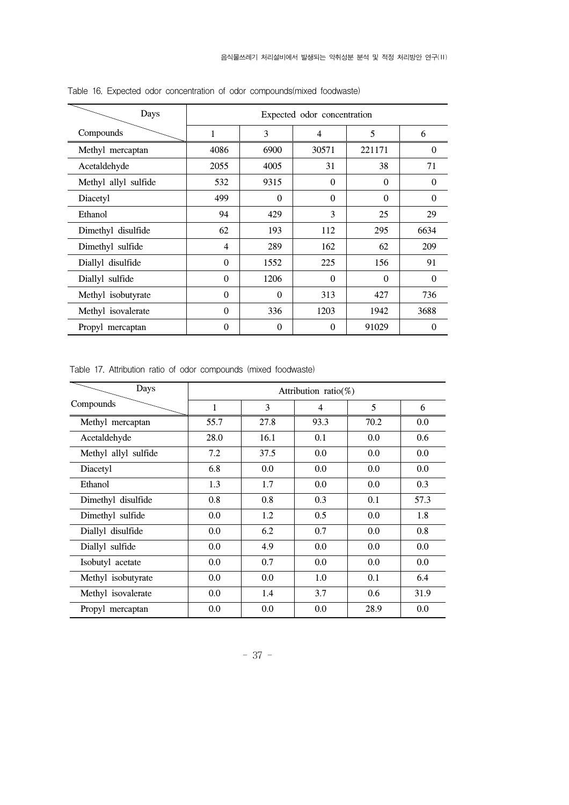| Days                 | Expected odor concentration |          |          |          |          |  |  |
|----------------------|-----------------------------|----------|----------|----------|----------|--|--|
| Compounds            | 1                           | 3        | 4        | 5        | 6        |  |  |
| Methyl mercaptan     | 4086                        | 6900     | 30571    | 221171   | $\Omega$ |  |  |
| Acetaldehyde         | 2055                        | 4005     | 31       | 38       | 71       |  |  |
| Methyl allyl sulfide | 532                         | 9315     | $\theta$ | $\Omega$ | 0        |  |  |
| Diacetyl             | 499                         | $\Omega$ | $\Omega$ | $\Omega$ | $\Omega$ |  |  |
| Ethanol              | 94                          | 429      | 3        | 25       | 29       |  |  |
| Dimethyl disulfide   | 62                          | 193      | 112      | 295      | 6634     |  |  |
| Dimethyl sulfide     | 4                           | 289      | 162      | 62       | 209      |  |  |
| Diallyl disulfide    | $\Omega$                    | 1552     | 225      | 156      | 91       |  |  |
| Diallyl sulfide      | $\Omega$                    | 1206     | $\theta$ | $\Omega$ | $\Omega$ |  |  |
| Methyl isobutyrate   | $\Omega$                    | $\theta$ | 313      | 427      | 736      |  |  |
| Methyl isovalerate   | $\Omega$                    | 336      | 1203     | 1942     | 3688     |  |  |
| Propyl mercaptan     | $\theta$                    | $\Omega$ | $\theta$ | 91029    | $\Omega$ |  |  |

Table 16. Expected odor concentration of odor compounds(mixed foodwaste)

| Days                 | Attribution ratio(%) |      |      |      |      |  |  |  |
|----------------------|----------------------|------|------|------|------|--|--|--|
| Compounds            | 1                    | 3    | 4    | 5    | 6    |  |  |  |
| Methyl mercaptan     | 55.7                 | 27.8 | 93.3 | 70.2 | 0.0  |  |  |  |
| Acetaldehyde         | 28.0                 | 16.1 | 0.1  | 0.0  | 0.6  |  |  |  |
| Methyl allyl sulfide | 7.2                  | 37.5 | 0.0  | 0.0  | 0.0  |  |  |  |
| Diacetyl             | 6.8                  | 0.0  | 0.0  | 0.0  | 0.0  |  |  |  |
| Ethanol              | 1.3                  | 1.7  | 0.0  | 0.0  | 0.3  |  |  |  |
| Dimethyl disulfide   | 0.8                  | 0.8  | 0.3  | 0.1  | 57.3 |  |  |  |
| Dimethyl sulfide     | 0.0                  | 1.2  | 0.5  | 0.0  | 1.8  |  |  |  |
| Diallyl disulfide    | 0.0                  | 6.2  | 0.7  | 0.0  | 0.8  |  |  |  |
| Diallyl sulfide      | 0.0                  | 4.9  | 0.0  | 0.0  | 0.0  |  |  |  |
| Isobutyl acetate     | 0.0                  | 0.7  | 0.0  | 0.0  | 0.0  |  |  |  |
| Methyl isobutyrate   | 0.0                  | 0.0  | 1.0  | 0.1  | 6.4  |  |  |  |
| Methyl isovalerate   | 0.0                  | 1.4  | 3.7  | 0.6  | 31.9 |  |  |  |
| Propyl mercaptan     | 0.0                  | 0.0  | 0.0  | 28.9 | 0.0  |  |  |  |

Table 17. Attribution ratio of odor compounds (mixed foodwaste)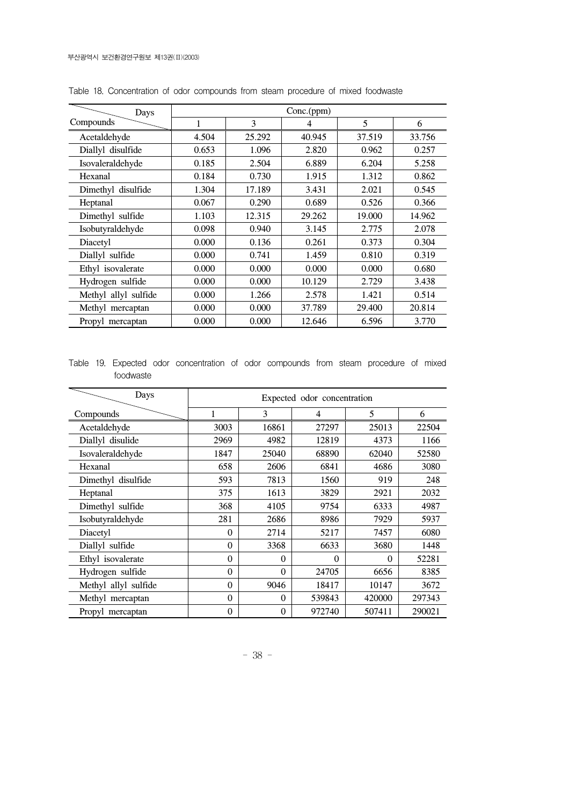| Days                 | Conc.(ppm) |        |        |        |        |  |
|----------------------|------------|--------|--------|--------|--------|--|
| Compounds            | 1          | 3      | 4      | 5      | 6      |  |
| Acetaldehyde         | 4.504      | 25.292 | 40.945 | 37.519 | 33.756 |  |
| Diallyl disulfide    | 0.653      | 1.096  | 2.820  | 0.962  | 0.257  |  |
| Isovaleraldehyde     | 0.185      | 2.504  | 6.889  | 6.204  | 5.258  |  |
| Hexanal              | 0.184      | 0.730  | 1.915  | 1.312  | 0.862  |  |
| Dimethyl disulfide   | 1.304      | 17.189 | 3.431  | 2.021  | 0.545  |  |
| Heptanal             | 0.067      | 0.290  | 0.689  | 0.526  | 0.366  |  |
| Dimethyl sulfide     | 1.103      | 12.315 | 29.262 | 19.000 | 14.962 |  |
| Isobutyraldehyde     | 0.098      | 0.940  | 3.145  | 2.775  | 2.078  |  |
| Diacetyl             | 0.000      | 0.136  | 0.261  | 0.373  | 0.304  |  |
| Diallyl sulfide      | 0.000      | 0.741  | 1.459  | 0.810  | 0.319  |  |
| Ethyl isovalerate    | 0.000      | 0.000  | 0.000  | 0.000  | 0.680  |  |
| Hydrogen sulfide     | 0.000      | 0.000  | 10.129 | 2.729  | 3.438  |  |
| Methyl allyl sulfide | 0.000      | 1.266  | 2.578  | 1.421  | 0.514  |  |
| Methyl mercaptan     | 0.000      | 0.000  | 37.789 | 29.400 | 20.814 |  |
| Propyl mercaptan     | 0.000      | 0.000  | 12.646 | 6.596  | 3.770  |  |

Table 18. Concentration of odor compounds from steam procedure of mixed foodwaste

Table 19. Expected odor concentration of odor compounds from steam procedure of mixed foodwaste

| Days                 | Expected odor concentration |          |          |          |        |  |  |
|----------------------|-----------------------------|----------|----------|----------|--------|--|--|
| Compounds            | 1                           | 3        | 4        | 5        | 6      |  |  |
| Acetaldehyde         | 3003                        | 16861    | 27297    | 25013    | 22504  |  |  |
| Diallyl disulide     | 2969                        | 4982     | 12819    | 4373     | 1166   |  |  |
| Isovaleraldehyde     | 1847                        | 25040    | 68890    | 62040    | 52580  |  |  |
| Hexanal              | 658                         | 2606     | 6841     | 4686     | 3080   |  |  |
| Dimethyl disulfide   | 593                         | 7813     | 1560     | 919      | 248    |  |  |
| Heptanal             | 375                         | 1613     | 3829     | 2921     | 2032   |  |  |
| Dimethyl sulfide     | 368                         | 4105     | 9754     | 6333     | 4987   |  |  |
| Isobutyraldehyde     | 281                         | 2686     | 8986     | 7929     | 5937   |  |  |
| Diacetyl             | $\Omega$                    | 2714     | 5217     | 7457     | 6080   |  |  |
| Diallyl sulfide      | $\theta$                    | 3368     | 6633     | 3680     | 1448   |  |  |
| Ethyl isovalerate    | $\Omega$                    | $\theta$ | $\theta$ | $\Omega$ | 52281  |  |  |
| Hydrogen sulfide     | $\Omega$                    | $\theta$ | 24705    | 6656     | 8385   |  |  |
| Methyl allyl sulfide | $\Omega$                    | 9046     | 18417    | 10147    | 3672   |  |  |
| Methyl mercaptan     | $\Omega$                    | $\theta$ | 539843   | 420000   | 297343 |  |  |
| Propyl mercaptan     | $\overline{0}$              | $\theta$ | 972740   | 507411   | 290021 |  |  |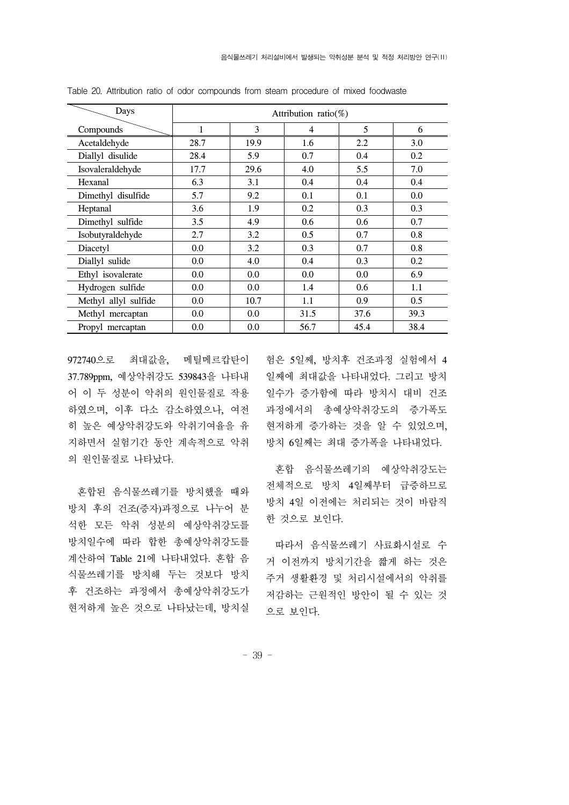| Days                 | Attribution ratio(%) |      |      |      |      |  |  |
|----------------------|----------------------|------|------|------|------|--|--|
| Compounds            | 1                    | 3    | 4    | 5    | 6    |  |  |
| Acetaldehyde         | 28.7                 | 19.9 | 1.6  | 2.2  | 3.0  |  |  |
| Diallyl disulide     | 28.4                 | 5.9  | 0.7  | 0.4  | 0.2  |  |  |
| Isovaleraldehyde     | 17.7                 | 29.6 | 4.0  | 5.5  | 7.0  |  |  |
| Hexanal              | 6.3                  | 3.1  | 0.4  | 0.4  | 0.4  |  |  |
| Dimethyl disulfide   | 5.7                  | 9.2  | 0.1  | 0.1  | 0.0  |  |  |
| Heptanal             | 3.6                  | 1.9  | 0.2  | 0.3  | 0.3  |  |  |
| Dimethyl sulfide     | 3.5                  | 4.9  | 0.6  | 0.6  | 0.7  |  |  |
| Isobutyraldehyde     | 2.7                  | 3.2  | 0.5  | 0.7  | 0.8  |  |  |
| Diacetyl             | 0.0                  | 3.2  | 0.3  | 0.7  | 0.8  |  |  |
| Diallyl sulide       | 0.0                  | 4.0  | 0.4  | 0.3  | 0.2  |  |  |
| Ethyl isovalerate    | 0.0                  | 0.0  | 0.0  | 0.0  | 6.9  |  |  |
| Hydrogen sulfide     | 0.0                  | 0.0  | 1.4  | 0.6  | 1.1  |  |  |
| Methyl allyl sulfide | 0.0                  | 10.7 | 1.1  | 0.9  | 0.5  |  |  |
| Methyl mercaptan     | 0.0                  | 0.0  | 31.5 | 37.6 | 39.3 |  |  |
| Propyl mercaptan     | 0.0                  | 0.0  | 56.7 | 45.4 | 38.4 |  |  |

Table 20. Attribution ratio of odor compounds from steam procedure of mixed foodwaste

972740으로 최대값을, 메틸메르캅탄이 험은 5일째, 방치후 건조과정 실험에서 4 37.789ppm, 예상악취강도 539843을 나타내 일째에 최대값을 나타내었다. 그리고 방치 어 이 두 성분이 악취의 원인물질로 작용 하였으며, 이후 다소 감소하였으나, 여전 히 높은 예상악취강도와 악취기여율을 유 지하면서 실험기간 동안 계속적으로 악취 방치 6일째는 최대 증가폭을 나타내었다. 의 원인물질로 나타났다.

 혼합된 음식물쓰레기를 방치했을 때와 방치 후의 건조(증자)과정으로 나누어 분 석한 모든 악취 성분의 예상악취강도를 방치일수에 따라 합한 총예상악취강도를 계산하여 Table 21에 나타내었다. 혼합 음 식물쓰레기를 방치해 두는 것보다 방치 후 건조하는 과정에서 총예상악취강도가 현저하게 높은 것으로 나타났는데, 방치실

일수가 증가함에 따라 방치시 대비 건조 과정에서의 총예상악취강도의 증가폭도 현저하게 증가하는 것을 알 수 있었으며,

 혼합 음식물쓰레기의 예상악취강도는 전체적으로 방치 4일째부터 급증하므로 방치 4일 이전에는 처리되는 것이 바람직 한 것으로 보인다.

 따라서 음식물쓰레기 사료화시설로 수 거 이전까지 방치기간을 짧게 하는 것은 주거 생활환경 및 처리시설에서의 악취를 저감하는 근원적인 방안이 될 수 있는 것 으로 보인다.

- 39 -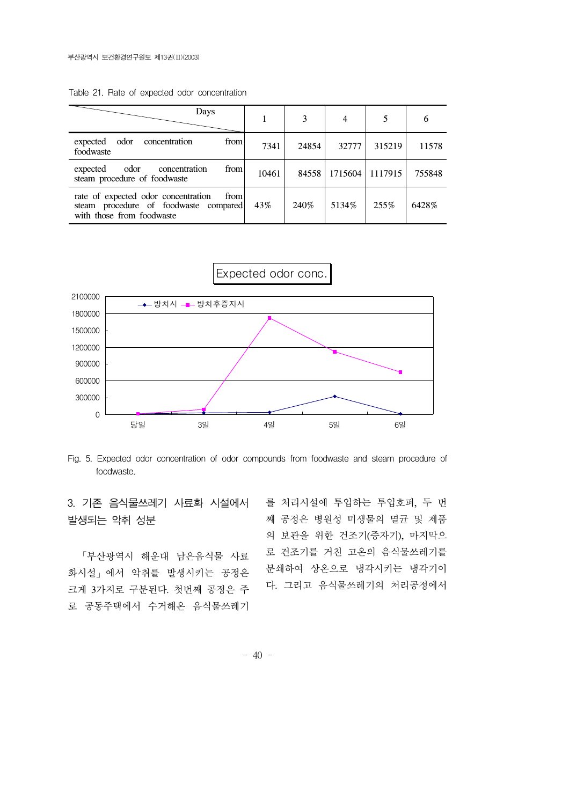| Days                                                                                                              |       | 3     | 4       |         | 6      |
|-------------------------------------------------------------------------------------------------------------------|-------|-------|---------|---------|--------|
| odor concentration<br>from<br>expected<br>foodwaste                                                               | 7341  | 24854 | 32777   | 315219  | 11578  |
| from<br>odor<br>expected<br>concentration<br>steam procedure of foodwaste                                         | 10461 | 84558 | 1715604 | 1117915 | 755848 |
| rate of expected odor concentration<br>from<br>steam procedure of foodwaste compared<br>with those from foodwaste | 43%   | 240\% | 5134\%  | 255%    | 6428%  |

Table 21. Rate of expected odor concentration





Fig. 5. Expected odor concentration of odor compounds from foodwaste and steam procedure of foodwaste.

3. 기존 음식물쓰레기 사료화 시설에서 를 처리시설에 투입하는 투입호퍼, 두 번 발생되는 악취 성분

 「부산광역시 해운대 남은음식물 사료 화시설」에서 악취를 발생시키는 공정은 크게 3가지로 구분된다. 첫번째 공정은 주 로 공동주택에서 수거해온 음식물쓰레기

째 공정은 병원성 미생물의 멸균 및 제품 의 보관을 위한 건조기(증자기), 마지막으 로 건조기를 거친 고온의 음식물쓰레기를 분쇄하여 상온으로 냉각시키는 냉각기이 다. 그리고 음식물쓰레기의 처리공정에서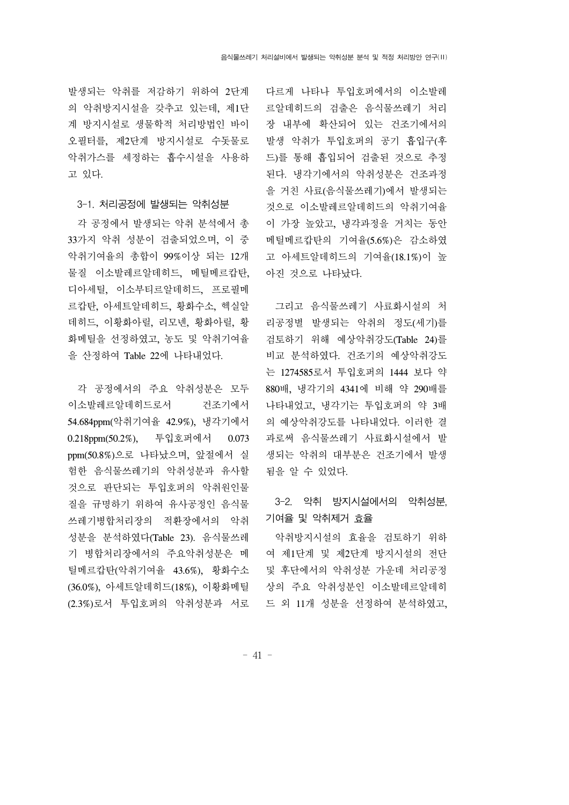발생되는 악취를 저감하기 위하여 2단계 의 악취방지시설을 갖추고 있는데, 제1단 계 방지시설로 생물학적 처리방법인 바이 오필터를, 제2단계 방지시설로 수돗물로 악취가스를 세정하는 흡수시설을 사용하 고 있다.

#### 3-1. 처리공정에 발생되는 악취성분

 각 공정에서 발생되는 악취 분석에서 총 33가지 악취 성분이 검출되었으며, 이 중 악취기여율의 총합이 99%이상 되는 12개 물질 이소발레르알데히드, 메틸메르캅탄, 디아세틸, 이소부티르알데히드, 프로필메 르캅탄, 아세트알데히드, 황화수소, 헥실알 데히드, 이황화아릴, 리모넨, 황화아릴, 황 화메틸을 선정하였고, 농도 및 악취기여율 을 산정하여 Table 22에 나타내었다.

 각 공정에서의 주요 악취성분은 모두 이소발레르알데히드로서 건조기에서 54.684ppm(악취기여율 42.9%), 냉각기에서 0.218ppm(50.2%), 투입호퍼에서 0.073 ppm(50.8%)으로 나타났으며, 앞절에서 실 험한 음식물쓰레기의 악취성분과 유사할 것으로 판단되는 투입호퍼의 악취원인물 질을 규명하기 위하여 유사공정인 음식물 쓰레기병합처리장의 적환장에서의 악취 성분을 분석하였다(Table 23). 음식물쓰레 기 병합처리장에서의 주요악취성분은 메 틸메르캅탄(악취기여율 43.6%), 황화수소 (36.0%), 아세트알데히드(18%), 이황화메틸

다르게 나타나 투입호퍼에서의 이소발레 르알데히드의 검출은 음식물쓰레기 처리 장 내부에 확산되어 있는 건조기에서의 발생 악취가 투입호퍼의 공기 흡입구(후 드)를 통해 흡입되어 검출된 것으로 추정 된다. 냉각기에서의 악취성분은 건조과정 을 거친 사료(음식물쓰레기)에서 발생되는 것으로 이소발레르알데히드의 악취기여율 이 가장 높았고, 냉각과정을 거치는 동안 메틸메르캅탄의 기여율(5.6%)은 감소하였 고 아세트알데히드의 기여율(18.1%)이 높 아진 것으로 나타났다.

 그리고 음식물쓰레기 사료화시설의 처 리공정별 발생되는 악취의 정도(세기)를 검토하기 위해 예상악취강도(Table 24)를 비교 분석하였다. 건조기의 예상악취강도 는 1274585로서 투입호퍼의 1444 보다 약 880배, 냉각기의 4341에 비해 약 290배를 나타내었고, 냉각기는 투입호퍼의 약 3배 의 예상악취강도를 나타내었다. 이러한 결 과로써 음식물쓰레기 사료화시설에서 발 생되는 악취의 대부분은 건조기에서 발생 됨을 알 수 있었다.

3-2. 악취 방지시설에서의 악취성분, 기여율 및 악취제거 효율

(2.3%)로서 투입호퍼의 악취성분과 서로 드 외 11개 성분을 선정하여 분석하였고, 악취방지시설의 효율을 검토하기 위하 여 제1단계 및 제2단계 방지시설의 전단 및 후단에서의 악취성분 가운데 처리공정 상의 주요 악취성분인 이소발데르알데히

- 41 -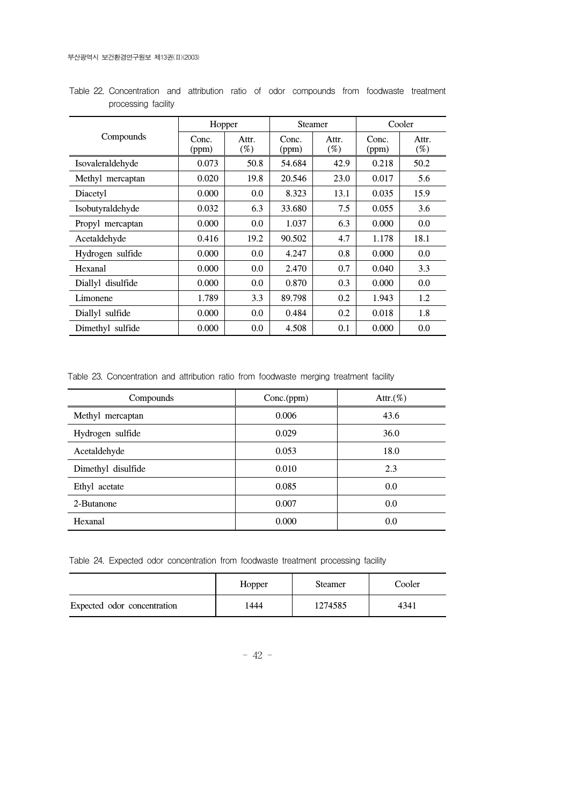|                   | Hopper         |                 |                | <b>Steamer</b>  | Cooler         |                 |
|-------------------|----------------|-----------------|----------------|-----------------|----------------|-----------------|
| Compounds         | Conc.<br>(ppm) | Attr.<br>$(\%)$ | Conc.<br>(ppm) | Attr.<br>$(\%)$ | Conc.<br>(ppm) | Attr.<br>$(\%)$ |
| Isovaleraldehyde  | 0.073          | 50.8            | 54.684         | 42.9            | 0.218          | 50.2            |
| Methyl mercaptan  | 0.020          | 19.8            | 20.546         | 23.0            | 0.017          | 5.6             |
| Diacetyl          | 0.000          | 0.0             | 8.323          | 13.1            | 0.035          | 15.9            |
| Isobutyraldehyde  | 0.032          | 6.3             | 33.680         | 7.5             | 0.055          | 3.6             |
| Propyl mercaptan  | 0.000          | 0.0             | 1.037          | 6.3             | 0.000          | 0.0             |
| Acetaldehyde      | 0.416          | 19.2            | 90.502         | 4.7             | 1.178          | 18.1            |
| Hydrogen sulfide  | 0.000          | 0.0             | 4.247          | 0.8             | 0.000          | 0.0             |
| Hexanal           | 0.000          | 0.0             | 2.470          | 0.7             | 0.040          | 3.3             |
| Diallyl disulfide | 0.000          | 0.0             | 0.870          | 0.3             | 0.000          | 0.0             |
| Limonene          | 1.789          | 3.3             | 89.798         | 0.2             | 1.943          | 1.2             |
| Diallyl sulfide   | 0.000          | 0.0             | 0.484          | 0.2             | 0.018          | 1.8             |
| Dimethyl sulfide  | 0.000          | 0.0             | 4.508          | 0.1             | 0.000          | 0.0             |

Table 22. Concentration and attribution ratio of odor compounds from foodwaste treatment processing facility

Table 23. Concentration and attribution ratio from foodwaste merging treatment facility

| Compounds          | Conc.(ppm) | Attr. $(\%)$ |
|--------------------|------------|--------------|
| Methyl mercaptan   | 0.006      | 43.6         |
| Hydrogen sulfide   | 0.029      | 36.0         |
| Acetaldehyde       | 0.053      | 18.0         |
| Dimethyl disulfide | 0.010      | 2.3          |
| Ethyl acetate      | 0.085      | 0.0          |
| 2-Butanone         | 0.007      | 0.0          |
| Hexanal            | 0.000      | 0.0          |

Table 24. Expected odor concentration from foodwaste treatment processing facility

|                             | Hopper | <b>Steamer</b> | Cooler |
|-----------------------------|--------|----------------|--------|
| Expected odor concentration | 1444   | 1274585        | 4341   |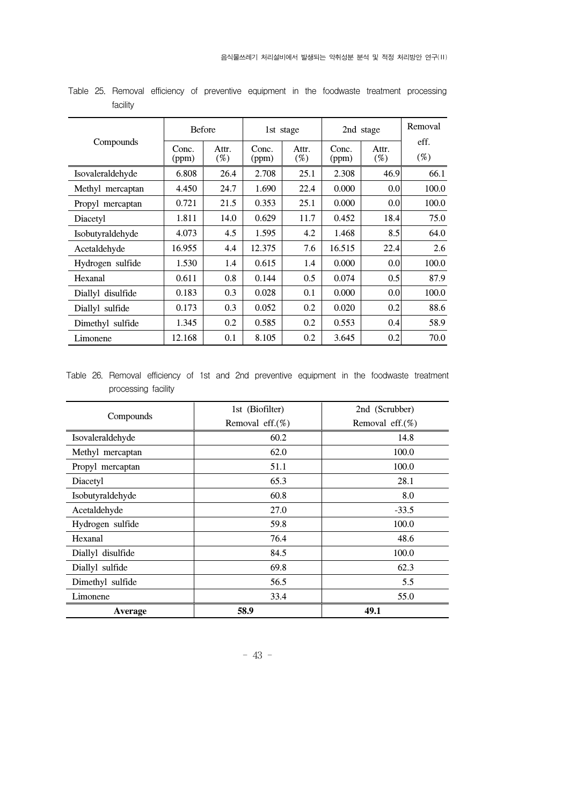|                   | <b>Before</b>  |                 | 1st stage      |                 | 2nd stage      |                  | Removal        |
|-------------------|----------------|-----------------|----------------|-----------------|----------------|------------------|----------------|
| Compounds         | Conc.<br>(ppm) | Attr.<br>$(\%)$ | Conc.<br>(ppm) | Attr.<br>$(\%)$ | Conc.<br>(ppm) | Attr.<br>$(\%)$  | eff.<br>$(\%)$ |
| Isovaleraldehyde  | 6.808          | 26.4            | 2.708          | 25.1            | 2.308          | 46.9             | 66.1           |
| Methyl mercaptan  | 4.450          | 24.7            | 1.690          | 22.4            | 0.000          | 0.0              | 100.0          |
| Propyl mercaptan  | 0.721          | 21.5            | 0.353          | 25.1            | 0.000          | 0.0 <sub>l</sub> | 100.0          |
| Diacetyl          | 1.811          | 14.0            | 0.629          | 11.7            | 0.452          | 18.4             | 75.0           |
| Isobutyraldehyde  | 4.073          | 4.5             | 1.595          | 4.2             | 1.468          | 8.5              | 64.0           |
| Acetaldehyde      | 16.955         | 4.4             | 12.375         | 7.6             | 16.515         | 22.4             | 2.6            |
| Hydrogen sulfide  | 1.530          | 1.4             | 0.615          | 1.4             | 0.000          | 0.0              | 100.0          |
| Hexanal           | 0.611          | 0.8             | 0.144          | 0.5             | 0.074          | 0.5              | 87.9           |
| Diallyl disulfide | 0.183          | 0.3             | 0.028          | 0.1             | 0.000          | 0.0 <sub>l</sub> | 100.0          |
| Diallyl sulfide   | 0.173          | 0.3             | 0.052          | 0.2             | 0.020          | 0.2              | 88.6           |
| Dimethyl sulfide  | 1.345          | 0.2             | 0.585          | 0.2             | 0.553          | 0.4              | 58.9           |
| Limonene          | 12.168         | 0.1             | 8.105          | 0.2             | 3.645          | 0.2              | 70.0           |

Table 25. Removal efficiency of preventive equipment in the foodwaste treatment processing facility

Table 26. Removal efficiency of 1st and 2nd preventive equipment in the foodwaste treatment processing facility

|                   | 1st (Biofilter)     | 2nd (Scrubber)      |  |
|-------------------|---------------------|---------------------|--|
| Compounds         | Removal eff. $(\%)$ | Removal eff. $(\%)$ |  |
| Isovaleraldehyde  | 60.2                | 14.8                |  |
| Methyl mercaptan  | 62.0                | 100.0               |  |
| Propyl mercaptan  | 51.1                | 100.0               |  |
| Diacetyl          | 65.3                | 28.1                |  |
| Isobutyraldehyde  | 60.8                | 8.0                 |  |
| Acetaldehyde      | 27.0                | $-33.5$             |  |
| Hydrogen sulfide  | 59.8                | 100.0               |  |
| Hexanal           | 76.4                | 48.6                |  |
| Diallyl disulfide | 84.5                | 100.0               |  |
| Diallyl sulfide   | 69.8                | 62.3                |  |
| Dimethyl sulfide  | 56.5                | 5.5                 |  |
| Limonene          | 33.4                | 55.0                |  |
| Average           | 58.9                | 49.1                |  |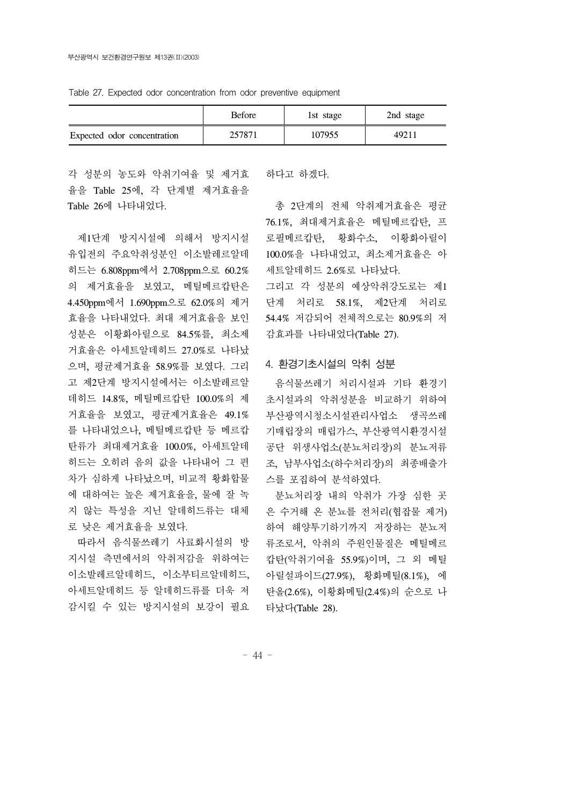Table 27. Expected odor concentration from odor preventive equipment

|                             | <b>Before</b> | 1st stage | 2nd stage |
|-----------------------------|---------------|-----------|-----------|
| Expected odor concentration | 257871        | 107955    | 49211     |

각 성분의 농도와 악취기여율 및 제거효 하다고 하겠다. 율을 Table 25에, 각 단계별 제거효율을 Table 26에 나타내었다.

 제1단계 방지시설에 의해서 방지시설 유입전의 주요악취성분인 이소발레르알데 히드는 6.808ppm에서 2.708ppm으로 60.2% 의 제거효율을 보였고, 메틸메르캅탄은 4.450ppm에서 1.690ppm으로 62.0%의 제거 효율을 나타내었다. 최대 제거효율을 보인 성분은 이황화아릴으로 84.5%를, 최소제 거효율은 아세트알데히드 27.0%로 나타났 으며, 평균제거효율 58.9%를 보였다. 그리 고 제2단계 방지시설에서는 이소발레르알 데히드 14.8%, 메틸메르캅탄 100.0%의 제 거효율을 보였고, 평균제거효율은 49.1% 를 나타내었으나, 메틸메르캅탄 등 메르캅 탄류가 최대제거효율 100.0%, 아세트알데 히드는 오히려 음의 값을 나타내어 그 편 차가 심하게 나타났으며, 비교적 황화합물 에 대하여는 높은 제거효율을, 물에 잘 녹 지 않는 특성을 지닌 알데히드류는 대체 로 낮은 제거효율을 보였다.

 따라서 음식물쓰레기 사료화시설의 방 지시설 측면에서의 악취저감을 위하여는 이소발레르알데히드, 이소부티르알데히드, 아세트알데히드 등 알데히드류를 더욱 저 감시킬 수 있는 방지시설의 보강이 필요

 총 2단계의 전체 악취제거효율은 평균 76.1%, 최대제거효율은 메틸메르캅탄, 프 로필메르캅탄, 황화수소, 이황화아릴이 100.0%을 나타내었고, 최소제거효율은 아 세트알데히드 2.6%로 나타났다.

그리고 각 성분의 예상악취강도로는 제1 단계 처리로 58.1%, 제2단계 처리로 54.4% 저감되어 전체적으로는 80.9%의 저 감효과를 나타내었다(Table 27).

#### 4. 환경기초시설의 악취 성분

 음식물쓰레기 처리시설과 기타 환경기 초시설과의 악취성분을 비교하기 위하여 부산광역시청소시설관리사업소 생곡쓰레 기매립장의 매립가스, 부산광역시환경시설 공단 위생사업소(분뇨처리장)의 분뇨저류 조, 남부사업소(하수처리장)의 최종배출가 스를 포집하여 분석하였다.

 분뇨처리장 내의 악취가 가장 심한 곳 은 수거해 온 분뇨를 전처리(협잡물 제거) 하여 해양투기하기까지 저장하는 분뇨저 류조로서, 악취의 주원인물질은 메틸메르 캅탄(악취기여율 55.9%)이며, 그 외 메틸 아릴설파이드(27.9%), 황화메틸(8.1%), 에 탄올(2.6%), 이황화메틸(2.4%)의 순으로 나 타났다(Table 28).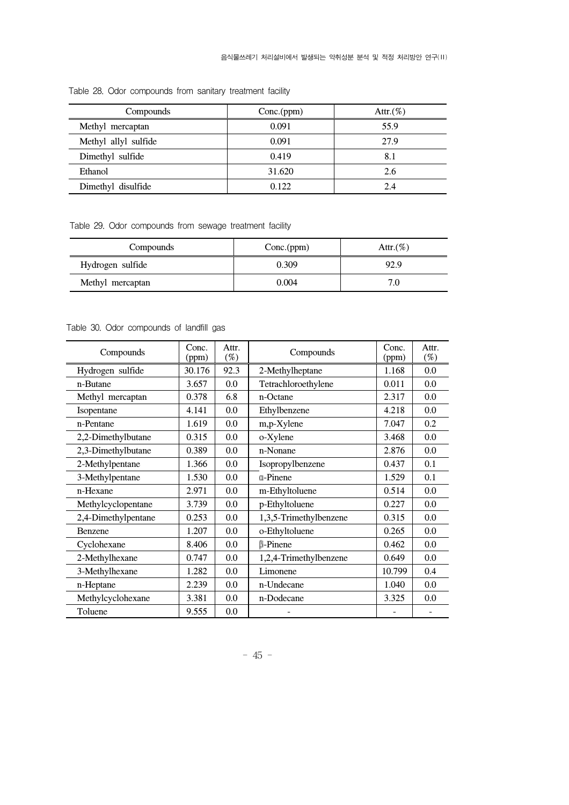| Compounds            | Conc.(ppm) | Attr. $(\%)$ |
|----------------------|------------|--------------|
| Methyl mercaptan     | 0.091      | 55.9         |
| Methyl allyl sulfide | 0.091      | 27.9         |
| Dimethyl sulfide     | 0.419      | 8.1          |
| Ethanol              | 31.620     | 2.6          |
| Dimethyl disulfide   | 0.122      | 24           |

Table 28. Odor compounds from sanitary treatment facility

Table 29. Odor compounds from sewage treatment facility

| Compounds        | Conc.(ppm) | Attr. $(\%)$ |
|------------------|------------|--------------|
| Hydrogen sulfide | 0.309      | 92.9         |
| Methyl mercaptan | 0.004      | 7.C          |

Table 30. Odor compounds of landfill gas

| Compounds           | Conc.<br>(ppm) | Attr.<br>$(\%)$ | Compounds              | Conc.<br>(ppm) | Attr.<br>$(\%)$ |
|---------------------|----------------|-----------------|------------------------|----------------|-----------------|
| Hydrogen sulfide    | 30.176         | 92.3            | 2-Methylheptane        | 1.168          | 0.0             |
| n-Butane            | 3.657          | 0.0             | Tetrachloroethylene    | 0.011          | 0.0             |
| Methyl mercaptan    | 0.378          | 6.8             | n-Octane               | 2.317          | 0.0             |
| Isopentane          | 4.141          | 0.0             | Ethylbenzene           | 4.218          | 0.0             |
| n-Pentane           | 1.619          | 0.0             | m,p-Xylene             | 7.047          | 0.2             |
| 2,2-Dimethylbutane  | 0.315          | 0.0             | o-Xylene               | 3.468          | 0.0             |
| 2,3-Dimethylbutane  | 0.389          | 0.0             | n-Nonane               | 2.876          | 0.0             |
| 2-Methylpentane     | 1.366          | 0.0             | Isopropylbenzene       | 0.437          | 0.1             |
| 3-Methylpentane     | 1.530          | 0.0             | <b>a-Pinene</b>        | 1.529          | 0.1             |
| n-Hexane            | 2.971          | 0.0             | m-Ethyltoluene         | 0.514          | 0.0             |
| Methylcyclopentane  | 3.739          | 0.0             | p-Ethyltoluene         | 0.227          | 0.0             |
| 2,4-Dimethylpentane | 0.253          | 0.0             | 1,3,5-Trimethylbenzene | 0.315          | 0.0             |
| Benzene             | 1.207          | 0.0             | o-Ethyltoluene         | 0.265          | 0.0             |
| Cyclohexane         | 8.406          | 0.0             | $\mathbb{B}$ -Pinene   | 0.462          | 0.0             |
| 2-Methylhexane      | 0.747          | 0.0             | 1,2,4-Trimethylbenzene | 0.649          | 0.0             |
| 3-Methylhexane      | 1.282          | 0.0             | Limonene               | 10.799         | 0.4             |
| n-Heptane           | 2.239          | 0.0             | n-Undecane             | 1.040          | 0.0             |
| Methylcyclohexane   | 3.381          | 0.0             | n-Dodecane             | 3.325          | 0.0             |
| Toluene             | 9.555          | 0.0             |                        |                |                 |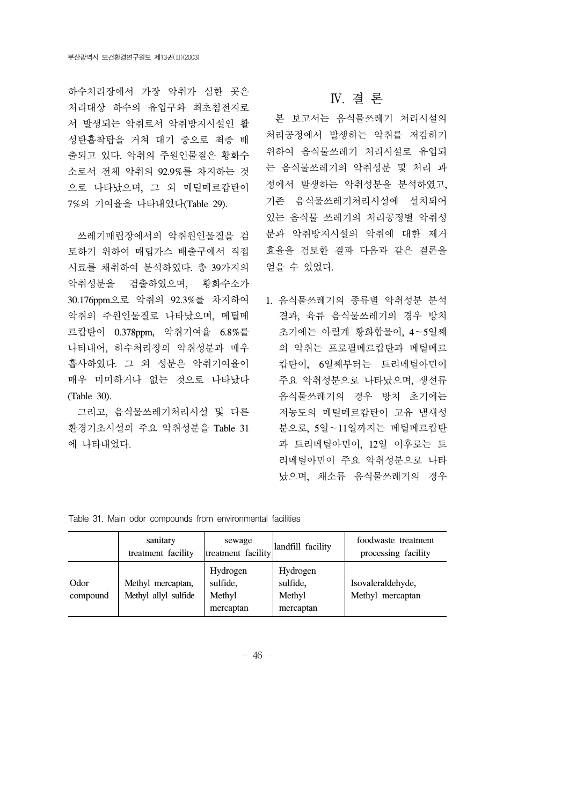하수처리장에서 가장 악취가 심한 곳은 처리대상 하수의 유입구와 최초침전지로 서 발생되는 악취로서 악취방지시설인 활 성탄흡착탑을 거쳐 대기 중으로 최종 배 출되고 있다. 악취의 주원인물질은 황화수 소로서 전체 악취의 92.9%를 차지하는 것 으로 나타났으며, 그 외 메틸메르캅탄이 7%의 기여율을 나타내었다(Table 29).

 쓰레기매립장에서의 악취원인물질을 검 토하기 위하여 매립가스 배출구에서 직접 시료를 채취하여 분석하였다. 총 39가지의 악취성분을 검출하였으며, 황화수소가 30.176ppm으로 악취의 92.3%를 차지하여 악취의 주원인물질로 나타났으며, 메틸메 르캅탄이 0.378ppm, 악취기여율 6.8%를 나타내어, 하수처리장의 악취성분과 매우 흡사하였다. 그 외 성분은 악취기여율이 매우 미미하거나 없는 것으로 나타났다 (Table 30).

 그리고, 음식물쓰레기처리시설 및 다른 환경기초시설의 주요 악취성분을 Table 31 에 나타내었다.

### Ⅳ. 결 론

 본 보고서는 음식물쓰레기 처리시설의 처리공정에서 발생하는 악취를 저감하기 위하여 음식물쓰레기 처리시설로 유입되 는 음식물쓰레기의 악취성분 및 처리 과 정에서 발생하는 악취성분을 분석하였고, 기존 음식물쓰레기처리시설에 설치되어 있는 음식물 쓰레기의 처리공정별 악취성 분과 악취방지시설의 악취에 대한 제거 효율을 검토한 결과 다음과 같은 결론을 얻을 수 있었다.

1. 음식물쓰레기의 종류별 악취성분 분석 결과, 육류 음식물쓰레기의 경우 방치 초기에는 아릴계 황화합물이, 4∼5일째 의 악취는 프로필메르캅탄과 메틸메르 캅탄이, 6일째부터는 트리메틸아민이 주요 악취성분으로 나타났으며, 생선류 음식물쓰레기의 경우 방치 초기에는 저농도의 메틸메르캅탄이 고유 냄새성 분으로, 5일∼11일까지는 메틸메르캅탄 과 트리메틸아민이, 12일 이후로는 트 리메틸아민이 주요 악취성분으로 나타 났으며, 채소류 음식물쓰레기의 경우

| $\sim$           |                                           |                                             |                                             |                                            |  |  |
|------------------|-------------------------------------------|---------------------------------------------|---------------------------------------------|--------------------------------------------|--|--|
|                  | sanitary<br>treatment facility            | sewage<br>treatment facility                | landfill facility                           | foodwaste treatment<br>processing facility |  |  |
| Odor<br>compound | Methyl mercaptan,<br>Methyl allyl sulfide | Hydrogen<br>sulfide,<br>Methyl<br>mercaptan | Hydrogen<br>sulfide,<br>Methyl<br>mercaptan | Isovaleraldehyde,<br>Methyl mercaptan      |  |  |

Table 31. Main odor compounds from environmental facilities